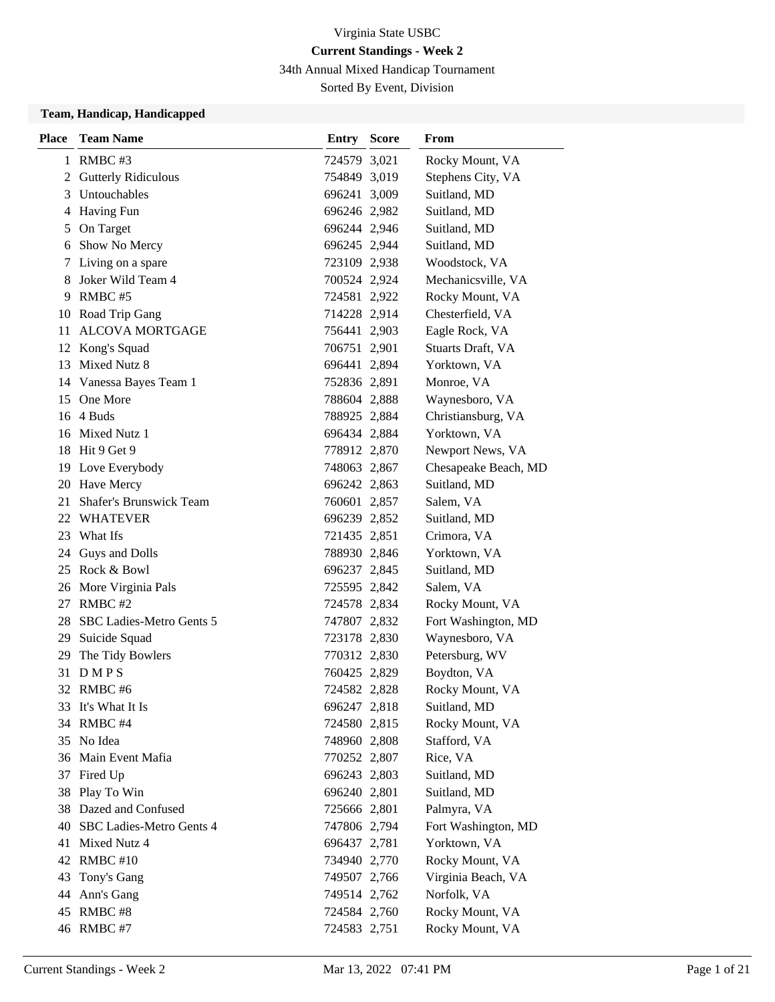34th Annual Mixed Handicap Tournament

Sorted By Event, Division

#### **Team, Handicap, Handicapped**

| <b>Place</b> | <b>Team Name</b>            | Entry        | <b>Score</b> | From                 |
|--------------|-----------------------------|--------------|--------------|----------------------|
|              | 1 RMBC #3                   | 724579 3,021 |              | Rocky Mount, VA      |
| 2            | <b>Gutterly Ridiculous</b>  | 754849 3,019 |              | Stephens City, VA    |
| 3            | <b>Untouchables</b>         | 696241 3,009 |              | Suitland, MD         |
| 4            | <b>Having Fun</b>           | 696246 2,982 |              | Suitland, MD         |
| 5            | On Target                   | 696244 2,946 |              | Suitland, MD         |
| 6            | Show No Mercy               | 696245 2,944 |              | Suitland, MD         |
| 7            | Living on a spare           | 723109 2,938 |              | Woodstock, VA        |
| 8            | Joker Wild Team 4           | 700524 2,924 |              | Mechanicsville, VA   |
| 9.           | RMBC#5                      | 724581 2,922 |              | Rocky Mount, VA      |
|              | 10 Road Trip Gang           | 714228 2,914 |              | Chesterfield, VA     |
| 11           | <b>ALCOVA MORTGAGE</b>      | 756441 2,903 |              | Eagle Rock, VA       |
|              | 12 Kong's Squad             | 706751 2,901 |              | Stuarts Draft, VA    |
| 13           | Mixed Nutz 8                | 696441 2,894 |              | Yorktown, VA         |
|              | 14 Vanessa Bayes Team 1     | 752836 2,891 |              | Monroe, VA           |
|              | 15 One More                 | 788604 2,888 |              | Waynesboro, VA       |
|              | 16 4 Buds                   | 788925 2,884 |              | Christiansburg, VA   |
|              | 16 Mixed Nutz 1             | 696434 2,884 |              | Yorktown, VA         |
|              | 18 Hit 9 Get 9              | 778912 2,870 |              | Newport News, VA     |
| 19           | Love Everybody              | 748063 2,867 |              | Chesapeake Beach, MD |
|              | 20 Have Mercy               | 696242 2,863 |              | Suitland, MD         |
|              | 21 Shafer's Brunswick Team  | 760601 2,857 |              | Salem, VA            |
|              | 22 WHATEVER                 | 696239 2,852 |              | Suitland, MD         |
|              | 23 What Ifs                 | 721435 2,851 |              | Crimora, VA          |
|              | 24 Guys and Dolls           | 788930 2,846 |              | Yorktown, VA         |
|              | 25 Rock & Bowl              | 696237 2,845 |              | Suitland, MD         |
|              | 26 More Virginia Pals       | 725595 2,842 |              | Salem, VA            |
| 27           | RMBC#2                      | 724578 2,834 |              | Rocky Mount, VA      |
|              | 28 SBC Ladies-Metro Gents 5 | 747807 2,832 |              | Fort Washington, MD  |
|              | 29 Suicide Squad            | 723178 2,830 |              | Waynesboro, VA       |
| 29           | The Tidy Bowlers            | 770312 2,830 |              | Petersburg, WV       |
|              | 31 DMPS                     | 760425 2,829 |              | Boydton, VA          |
|              | 32 RMBC #6                  | 724582 2,828 |              | Rocky Mount, VA      |
| 33           | It's What It Is             | 696247 2,818 |              | Suitland, MD         |
|              | 34 RMBC #4                  | 724580 2,815 |              | Rocky Mount, VA      |
|              | 35 No Idea                  | 748960 2,808 |              | Stafford, VA         |
|              | 36 Main Event Mafia         | 770252 2,807 |              | Rice, VA             |
|              | 37 Fired Up                 | 696243 2,803 |              | Suitland, MD         |
| 38           | Play To Win                 | 696240 2,801 |              | Suitland, MD         |
|              | 38 Dazed and Confused       | 725666 2,801 |              | Palmyra, VA          |
| 40           | SBC Ladies-Metro Gents 4    | 747806 2,794 |              | Fort Washington, MD  |
| 41           | Mixed Nutz 4                | 696437 2,781 |              | Yorktown, VA         |
| 42           | RMBC#10                     | 734940 2,770 |              | Rocky Mount, VA      |
| 43           | Tony's Gang                 | 749507 2,766 |              | Virginia Beach, VA   |
| 44           | Ann's Gang                  | 749514 2,762 |              | Norfolk, VA          |
|              | 45 RMBC #8                  | 724584 2,760 |              | Rocky Mount, VA      |
|              | 46 RMBC #7                  | 724583 2,751 |              | Rocky Mount, VA      |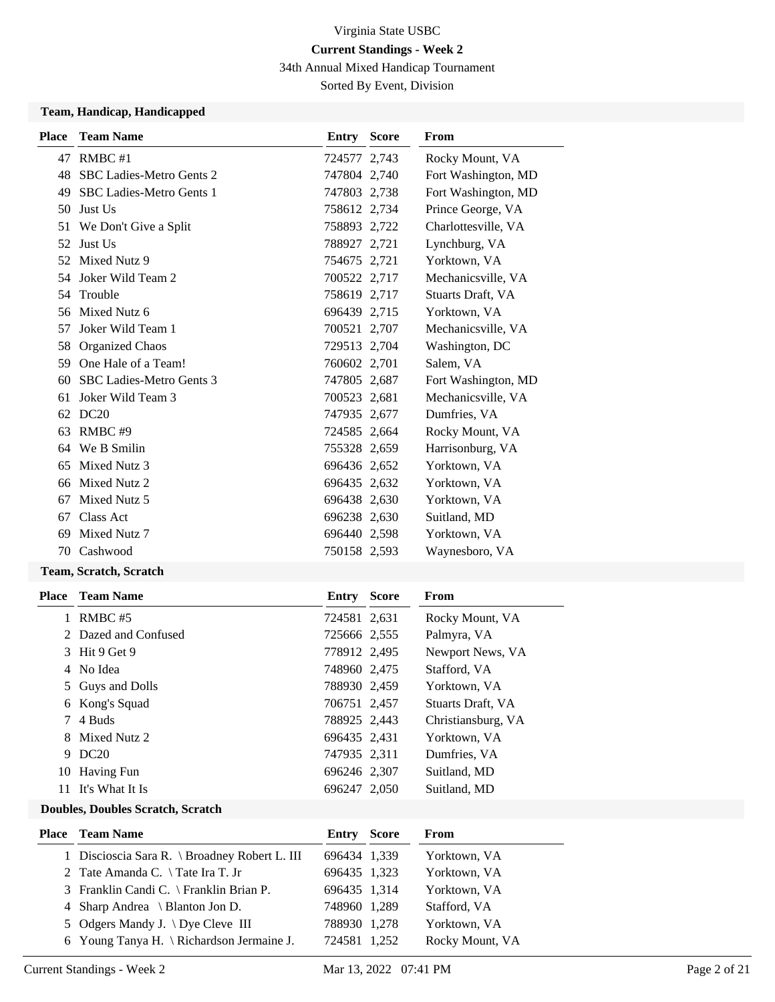34th Annual Mixed Handicap Tournament

Sorted By Event, Division

#### **Team, Handicap, Handicapped**

| <b>Place</b> | <b>Team Name</b>                | Entry        | <b>Score</b> | From                |
|--------------|---------------------------------|--------------|--------------|---------------------|
|              | 47 RMBC #1                      | 724577 2,743 |              | Rocky Mount, VA     |
| 48           | <b>SBC Ladies-Metro Gents 2</b> | 747804 2,740 |              | Fort Washington, MD |
| 49           | <b>SBC Ladies-Metro Gents 1</b> | 747803 2,738 |              | Fort Washington, MD |
| 50           | Just Us                         | 758612 2,734 |              | Prince George, VA   |
| 51           | We Don't Give a Split           | 758893 2,722 |              | Charlottesville, VA |
| 52           | Just Us                         | 788927 2,721 |              | Lynchburg, VA       |
| 52           | Mixed Nutz 9                    | 754675 2,721 |              | Yorktown, VA        |
| 54           | Joker Wild Team 2               | 700522 2,717 |              | Mechanicsville, VA  |
| 54           | Trouble                         | 758619 2,717 |              | Stuarts Draft, VA   |
|              | 56 Mixed Nutz 6                 | 696439 2,715 |              | Yorktown, VA        |
| 57           | Joker Wild Team 1               | 700521 2,707 |              | Mechanicsville, VA  |
| 58           | <b>Organized Chaos</b>          | 729513 2,704 |              | Washington, DC      |
| 59           | One Hale of a Team!             | 760602 2,701 |              | Salem, VA           |
| 60           | SBC Ladies-Metro Gents 3        | 747805 2,687 |              | Fort Washington, MD |
| 61           | Joker Wild Team 3               | 700523 2,681 |              | Mechanicsville, VA  |
|              | 62 DC20                         | 747935 2,677 |              | Dumfries, VA        |
| 63           | RMBC#9                          | 724585 2,664 |              | Rocky Mount, VA     |
| 64           | We B Smilin                     | 755328 2,659 |              | Harrisonburg, VA    |
| 65           | Mixed Nutz 3                    | 696436 2,652 |              | Yorktown, VA        |
| 66           | Mixed Nutz 2                    | 696435 2,632 |              | Yorktown, VA        |
| 67           | Mixed Nutz 5                    | 696438 2,630 |              | Yorktown, VA        |
| 67           | Class Act                       | 696238 2,630 |              | Suitland, MD        |
| 69           | Mixed Nutz 7                    | 696440 2,598 |              | Yorktown, VA        |
| 70           | Cashwood                        | 750158 2,593 |              | Waynesboro, VA      |
|              |                                 |              |              |                     |

### **Team, Scratch, Scratch**

| Place | <b>Team Name</b>     | Entry        | <b>Score</b> | From                     |
|-------|----------------------|--------------|--------------|--------------------------|
|       | RMBC#5               | 724581 2,631 |              | Rocky Mount, VA          |
|       | 2 Dazed and Confused | 725666 2,555 |              | Palmyra, VA              |
|       | 3 Hit 9 Get 9        | 778912 2,495 |              | Newport News, VA         |
|       | 4 No Idea            | 748960 2,475 |              | Stafford, VA             |
|       | 5 Guys and Dolls     | 788930 2,459 |              | Yorktown, VA             |
|       | 6 Kong's Squad       | 706751 2,457 |              | <b>Stuarts Draft, VA</b> |
| 7     | 4 Buds               | 788925 2,443 |              | Christiansburg, VA       |
|       | 8 Mixed Nutz 2       | 696435 2,431 |              | Yorktown, VA             |
| 9     | DC20                 | 747935 2,311 |              | Dumfries, VA             |
|       | 10 Having Fun        | 696246 2.307 |              | Suitland, MD             |
| 11    | It's What It Is      | 696247 2,050 |              | Suitland, MD             |

#### **Doubles, Doubles Scratch, Scratch**

| <b>Place</b> Team Name                               | Entry        | Score | From            |
|------------------------------------------------------|--------------|-------|-----------------|
| 1 Discioscia Sara R. \ Broadney Robert L. III        | 696434 1,339 |       | Yorktown, VA    |
| 2 Tate Amanda C. $\setminus$ Tate Ira T. Jr          | 696435 1,323 |       | Yorktown, VA    |
| 3 Franklin Candi C. \ Franklin Brian P.              | 696435 1,314 |       | Yorktown, VA    |
| 4 Sharp Andrea \ Blanton Jon D.                      | 748960 1,289 |       | Stafford, VA    |
| 5 Odgers Mandy J. \ Dye Cleve III                    | 788930 1,278 |       | Yorktown, VA    |
| 6 Young Tanya H. $\backslash$ Richardson Jermaine J. | 724581 1,252 |       | Rocky Mount, VA |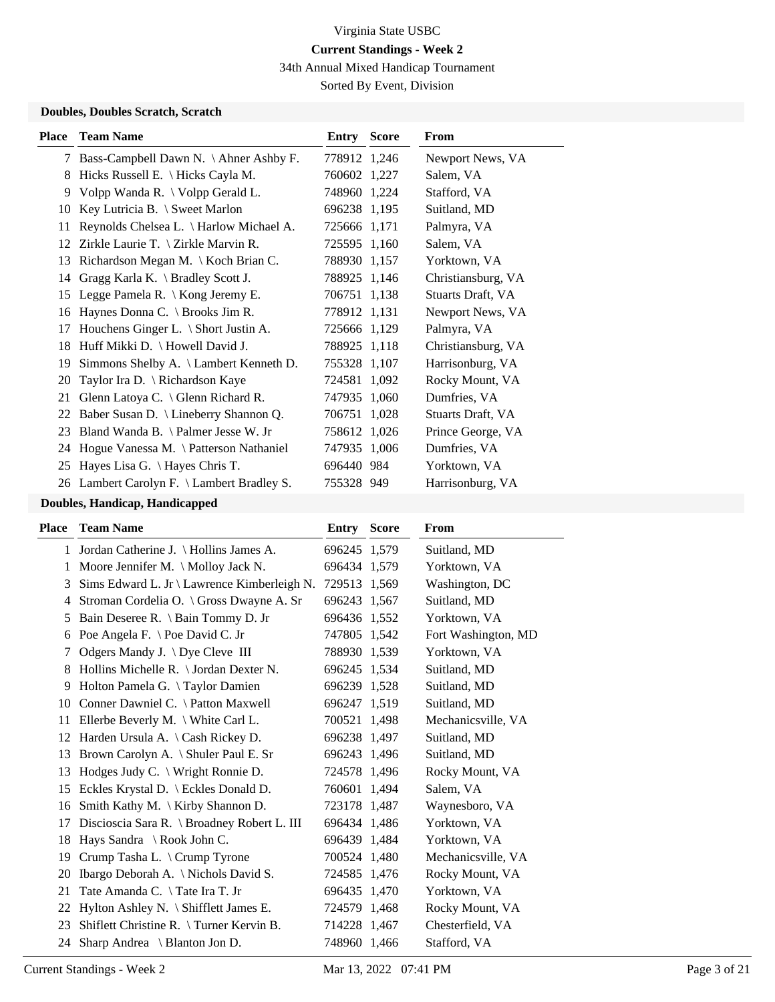34th Annual Mixed Handicap Tournament

Sorted By Event, Division

#### **Doubles, Doubles Scratch, Scratch**

| Place | <b>Team Name</b>                                          | Entry        | <b>Score</b> | <b>From</b>        |
|-------|-----------------------------------------------------------|--------------|--------------|--------------------|
| 7     | Bass-Campbell Dawn N. \ Ahner Ashby F.                    | 778912 1,246 |              | Newport News, VA   |
| 8     | Hicks Russell E. $\langle$ Hicks Cayla M.                 | 760602 1,227 |              | Salem, VA          |
| 9     | Volpp Wanda R. \ Volpp Gerald L.                          | 748960 1,224 |              | Stafford, VA       |
| 10    | Key Lutricia B. $\setminus$ Sweet Marlon                  | 696238 1,195 |              | Suitland, MD       |
| 11    | Reynolds Chelsea L. \ Harlow Michael A.                   | 725666 1,171 |              | Palmyra, VA        |
| 12    | Zirkle Laurie T. $\{Zirkle Marvin R.\}$                   | 725595 1,160 |              | Salem, VA          |
| 13    | Richardson Megan M. \ Koch Brian C.                       | 788930 1,157 |              | Yorktown, VA       |
| 14    | Gragg Karla K. $\operatorname{\mathsf{Bradley}}$ Scott J. | 788925 1,146 |              | Christiansburg, VA |
| 15    | Legge Pamela R. \ Kong Jeremy E.                          | 706751 1,138 |              | Stuarts Draft, VA  |
| 16    | Haynes Donna C. $\operatorname{\backslash}$ Brooks Jim R. | 778912 1,131 |              | Newport News, VA   |
| 17    | Houchens Ginger L. \ Short Justin A.                      | 725666 1,129 |              | Palmyra, VA        |
| 18    | Huff Mikki D. \ Howell David J.                           | 788925 1,118 |              | Christiansburg, VA |
| 19    | Simmons Shelby A. \ Lambert Kenneth D.                    | 755328 1,107 |              | Harrisonburg, VA   |
| 20    | Taylor Ira D. \ Richardson Kaye                           | 724581 1,092 |              | Rocky Mount, VA    |
| 21    | Glenn Latoya C. $\setminus$ Glenn Richard R.              | 747935 1,060 |              | Dumfries, VA       |
| 22    | Baber Susan D. \ Lineberry Shannon Q.                     | 706751 1,028 |              | Stuarts Draft, VA  |
| 23    | Bland Wanda B. $\lambda$ Palmer Jesse W. Jr               | 758612 1,026 |              | Prince George, VA  |
|       | 24 Hogue Vanessa M. \ Patterson Nathaniel                 | 747935 1,006 |              | Dumfries, VA       |
| 25    | Hayes Lisa G. \ Hayes Chris T.                            | 696440 984   |              | Yorktown, VA       |
|       | 26 Lambert Carolyn F. \ Lambert Bradley S.                | 755328 949   |              | Harrisonburg, VA   |
|       |                                                           |              |              |                    |

## **Doubles, Handicap, Handicapped**

| <b>Team Name</b>                                 | <b>Score</b> | <b>From</b>                                                                                                                                                                                                                                                                                                                                                                                           |
|--------------------------------------------------|--------------|-------------------------------------------------------------------------------------------------------------------------------------------------------------------------------------------------------------------------------------------------------------------------------------------------------------------------------------------------------------------------------------------------------|
| 1 Jordan Catherine J. \ Hollins James A.         |              | Suitland, MD                                                                                                                                                                                                                                                                                                                                                                                          |
| Moore Jennifer M. \ Molloy Jack N.               |              | Yorktown, VA                                                                                                                                                                                                                                                                                                                                                                                          |
| Sims Edward L. Jr \ Lawrence Kimberleigh N.      |              | Washington, DC                                                                                                                                                                                                                                                                                                                                                                                        |
| Stroman Cordelia O. \ Gross Dwayne A. Sr         |              | Suitland, MD                                                                                                                                                                                                                                                                                                                                                                                          |
| Bain Deseree R. \ Bain Tommy D. Jr               |              | Yorktown, VA                                                                                                                                                                                                                                                                                                                                                                                          |
| Poe Angela F. \ Poe David C. Jr                  |              | Fort Washington, MD                                                                                                                                                                                                                                                                                                                                                                                   |
| Odgers Mandy J. $\bigcup$ Dye Cleve III          |              | Yorktown, VA                                                                                                                                                                                                                                                                                                                                                                                          |
| Hollins Michelle R. \ Jordan Dexter N.           |              | Suitland, MD                                                                                                                                                                                                                                                                                                                                                                                          |
| Holton Pamela G. \Taylor Damien                  |              | Suitland, MD                                                                                                                                                                                                                                                                                                                                                                                          |
| Conner Dawniel C. \ Patton Maxwell               |              | Suitland, MD                                                                                                                                                                                                                                                                                                                                                                                          |
| Ellerbe Beverly M. $\backslash$ White Carl L.    |              | Mechanicsville, VA                                                                                                                                                                                                                                                                                                                                                                                    |
| Harden Ursula A. $\operatorname{Cash}$ Rickey D. |              | Suitland, MD                                                                                                                                                                                                                                                                                                                                                                                          |
| Brown Carolyn A. \ Shuler Paul E. Sr             |              | Suitland, MD                                                                                                                                                                                                                                                                                                                                                                                          |
| Hodges Judy C. \ Wright Ronnie D.                |              | Rocky Mount, VA                                                                                                                                                                                                                                                                                                                                                                                       |
| Eckles Krystal D. \ Eckles Donald D.             |              | Salem, VA                                                                                                                                                                                                                                                                                                                                                                                             |
| Smith Kathy M. \ Kirby Shannon D.                |              | Waynesboro, VA                                                                                                                                                                                                                                                                                                                                                                                        |
| Discioscia Sara R. \ Broadney Robert L. III      |              | Yorktown, VA                                                                                                                                                                                                                                                                                                                                                                                          |
| Hays Sandra \ Rook John C.                       |              | Yorktown, VA                                                                                                                                                                                                                                                                                                                                                                                          |
| Crump Tasha L. \ Crump Tyrone                    |              | Mechanicsville, VA                                                                                                                                                                                                                                                                                                                                                                                    |
| Ibargo Deborah A. \ Nichols David S.             |              | Rocky Mount, VA                                                                                                                                                                                                                                                                                                                                                                                       |
| Tate Amanda C. \ Tate Ira T. Jr                  |              | Yorktown, VA                                                                                                                                                                                                                                                                                                                                                                                          |
| Hylton Ashley N. \ Shifflett James E.            |              | Rocky Mount, VA                                                                                                                                                                                                                                                                                                                                                                                       |
| Shiflett Christine R. \Turner Kervin B.          |              | Chesterfield, VA                                                                                                                                                                                                                                                                                                                                                                                      |
| Sharp Andrea $\setminus$ Blanton Jon D.<br>24    |              | Stafford, VA                                                                                                                                                                                                                                                                                                                                                                                          |
|                                                  |              | Entry<br>696245 1,579<br>696434 1,579<br>729513 1,569<br>696243 1,567<br>696436 1,552<br>747805 1,542<br>788930 1,539<br>696245 1.534<br>696239 1,528<br>696247 1,519<br>700521 1,498<br>696238 1,497<br>696243 1,496<br>724578 1,496<br>760601 1,494<br>723178 1,487<br>696434 1,486<br>696439 1,484<br>700524 1,480<br>724585 1,476<br>696435 1,470<br>724579 1,468<br>714228 1,467<br>748960 1,466 |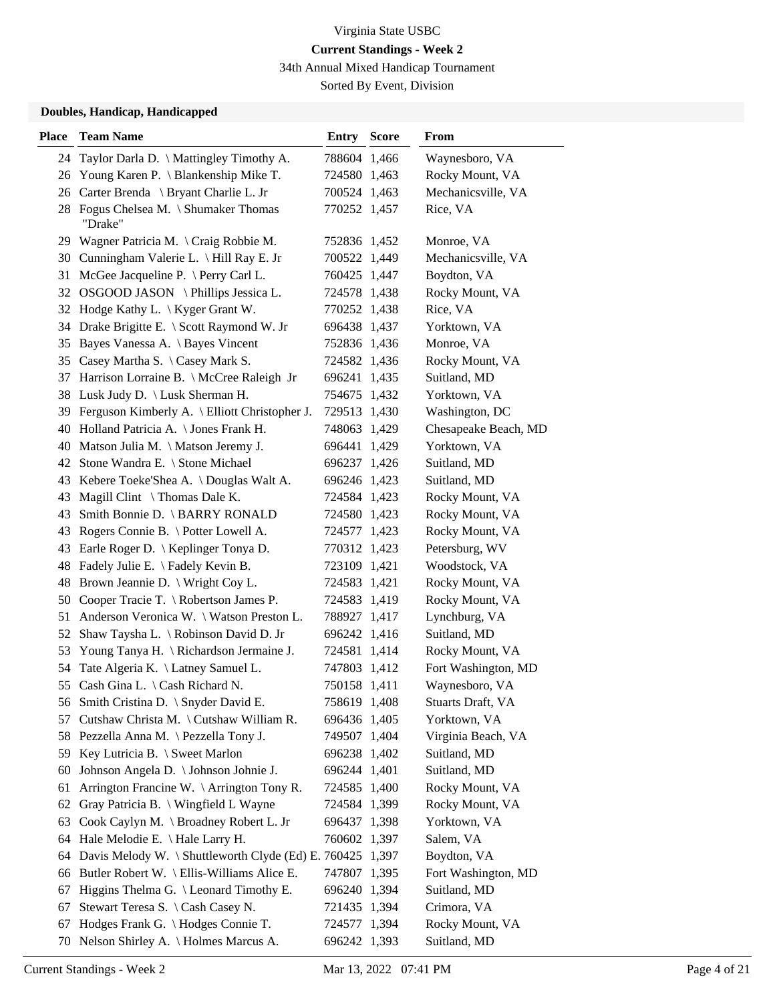34th Annual Mixed Handicap Tournament

Sorted By Event, Division

#### **Doubles, Handicap, Handicapped**

| <b>Place</b> | <b>Team Name</b>                                          | <b>Entry Score</b> | From                 |
|--------------|-----------------------------------------------------------|--------------------|----------------------|
|              | 24 Taylor Darla D. \ Mattingley Timothy A.                | 788604 1,466       | Waynesboro, VA       |
|              | 26 Young Karen P. \ Blankenship Mike T.                   | 724580 1,463       | Rocky Mount, VA      |
| 26           | Carter Brenda \ Bryant Charlie L. Jr                      | 700524 1,463       | Mechanicsville, VA   |
|              | 28 Fogus Chelsea M. \ Shumaker Thomas<br>"Drake"          | 770252 1,457       | Rice, VA             |
| 29           | Wagner Patricia M. $\operatorname{Craig}$ Robbie M.       | 752836 1,452       | Monroe, VA           |
|              | 30 Cunningham Valerie L. \ Hill Ray E. Jr                 | 700522 1,449       | Mechanicsville, VA   |
| 31           | McGee Jacqueline P. \ Perry Carl L.                       | 760425 1,447       | Boydton, VA          |
|              | 32 OSGOOD JASON \Phillips Jessica L.                      | 724578 1,438       | Rocky Mount, VA      |
|              | 32 Hodge Kathy L. \ Kyger Grant W.                        | 770252 1,438       | Rice, VA             |
|              | 34 Drake Brigitte E. \ Scott Raymond W. Jr                | 696438 1,437       | Yorktown, VA         |
| 35           | Bayes Vanessa A. \ Bayes Vincent                          | 752836 1,436       | Monroe, VA           |
|              | 35 Casey Martha S. \ Casey Mark S.                        | 724582 1,436       | Rocky Mount, VA      |
| 37           | Harrison Lorraine B. \ McCree Raleigh Jr                  | 696241 1,435       | Suitland, MD         |
| 38           | Lusk Judy D. \ Lusk Sherman H.                            | 754675 1,432       | Yorktown, VA         |
| 39           | Ferguson Kimberly A. \ Elliott Christopher J.             | 729513 1,430       | Washington, DC       |
|              | 40 Holland Patricia A. \ Jones Frank H.                   | 748063 1,429       | Chesapeake Beach, MD |
| 40           | Matson Julia M. \ Matson Jeremy J.                        | 696441 1,429       | Yorktown, VA         |
| 42           | Stone Wandra E. \ Stone Michael                           | 696237 1,426       | Suitland, MD         |
| 43           | Kebere Toeke'Shea A. \ Douglas Walt A.                    | 696246 1,423       | Suitland, MD         |
| 43           | Magill Clint $\setminus$ Thomas Dale K.                   | 724584 1,423       | Rocky Mount, VA      |
| 43           | Smith Bonnie D. \ BARRY RONALD                            | 724580 1,423       | Rocky Mount, VA      |
| 43           | Rogers Connie B. \ Potter Lowell A.                       | 724577 1,423       | Rocky Mount, VA      |
| 43           | Earle Roger D.   Keplinger Tonya D.                       | 770312 1,423       | Petersburg, WV       |
| 48           | Fadely Julie E. \ Fadely Kevin B.                         | 723109 1,421       | Woodstock, VA        |
| 48           | Brown Jeannie D. \ Wright Coy L.                          | 724583 1,421       | Rocky Mount, VA      |
| 50           | Cooper Tracie T. \ Robertson James P.                     | 724583 1,419       | Rocky Mount, VA      |
| 51           | Anderson Veronica W. \ Watson Preston L.                  | 788927 1,417       | Lynchburg, VA        |
| 52           | Shaw Taysha L. \ Robinson David D. Jr                     | 696242 1,416       | Suitland, MD         |
| 53           | Young Tanya H. \ Richardson Jermaine J.                   | 724581 1,414       | Rocky Mount, VA      |
| 54           | Tate Algeria K. \ Latney Samuel L.                        | 747803 1,412       | Fort Washington, MD  |
|              | 55 Cash Gina L. \ Cash Richard N.                         | 750158 1,411       | Waynesboro, VA       |
|              | 56 Smith Cristina D. \ Snyder David E.                    | 758619 1,408       | Stuarts Draft, VA    |
| 57           | Cutshaw Christa M. \ Cutshaw William R.                   | 696436 1,405       | Yorktown, VA         |
|              | 58 Pezzella Anna M. \ Pezzella Tony J.                    | 749507 1,404       | Virginia Beach, VA   |
|              | 59 Key Lutricia B. \ Sweet Marlon                         | 696238 1,402       | Suitland, MD         |
| 60           | Johnson Angela D. \ Johnson Johnie J.                     | 696244 1,401       | Suitland, MD         |
| 61           | Arrington Francine W. \ Arrington Tony R.                 | 724585 1,400       | Rocky Mount, VA      |
| 62           | Gray Patricia B. \ Wingfield L Wayne                      | 724584 1,399       | Rocky Mount, VA      |
| 63           | Cook Caylyn M. \ Broadney Robert L. Jr                    | 696437 1,398       | Yorktown, VA         |
| 64           | Hale Melodie E. \ Hale Larry H.                           | 760602 1,397       | Salem, VA            |
| 64           | Davis Melody W. \ Shuttleworth Clyde (Ed) E. 760425 1,397 |                    | Boydton, VA          |
|              | 66 Butler Robert W. \ Ellis-Williams Alice E.             | 747807 1,395       | Fort Washington, MD  |
| 67           | Higgins Thelma G. \ Leonard Timothy E.                    | 696240 1,394       | Suitland, MD         |
| 67           | Stewart Teresa S. \ Cash Casey N.                         | 721435 1,394       | Crimora, VA          |
| 67           | Hodges Frank G. \ Hodges Connie T.                        | 724577 1,394       | Rocky Mount, VA      |
|              | 70 Nelson Shirley A. \ Holmes Marcus A.                   | 696242 1,393       | Suitland, MD         |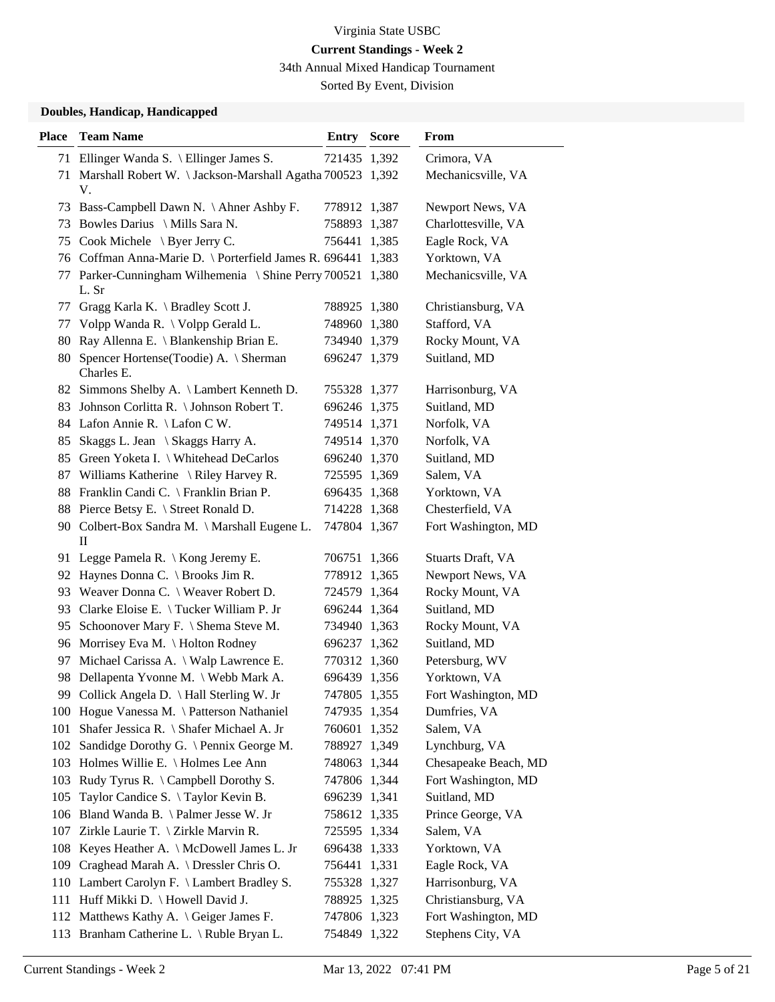34th Annual Mixed Handicap Tournament

Sorted By Event, Division

#### **Doubles, Handicap, Handicapped**

| <b>Place</b> | <b>Team Name</b>                                                 | <b>Entry Score</b> | From                 |
|--------------|------------------------------------------------------------------|--------------------|----------------------|
|              | 71 Ellinger Wanda S. \ Ellinger James S.                         | 721435 1,392       | Crimora, VA          |
|              | 71 Marshall Robert W. \ Jackson-Marshall Agatha 700523 1,392     |                    | Mechanicsville, VA   |
|              | V.                                                               |                    |                      |
|              | 73 Bass-Campbell Dawn N. \Ahner Ashby F.                         | 778912 1,387       | Newport News, VA     |
| 73           | Bowles Darius \ Mills Sara N.                                    | 758893 1,387       | Charlottesville, VA  |
|              | 75 Cook Michele \ Byer Jerry C.                                  | 756441 1,385       | Eagle Rock, VA       |
|              | 76 Coffman Anna-Marie D. \ Porterfield James R. 696441 1,383     |                    | Yorktown, VA         |
| 77           | Parker-Cunningham Wilhemenia \ Shine Perry 700521 1,380<br>L. Sr |                    | Mechanicsville, VA   |
|              | 77 Gragg Karla K. \ Bradley Scott J.                             | 788925 1,380       | Christiansburg, VA   |
|              | 77 Volpp Wanda R. \ Volpp Gerald L.                              | 748960 1,380       | Stafford, VA         |
|              | 80 Ray Allenna E. \ Blankenship Brian E.                         | 734940 1,379       | Rocky Mount, VA      |
| 80           | Spencer Hortense (Toodie) A. \ Sherman<br>Charles E.             | 696247 1,379       | Suitland, MD         |
|              | 82 Simmons Shelby A. \ Lambert Kenneth D.                        | 755328 1,377       | Harrisonburg, VA     |
|              | 83 Johnson Corlitta R. \ Johnson Robert T.                       | 696246 1,375       | Suitland, MD         |
|              | 84 Lafon Annie R. \ Lafon C W.                                   | 749514 1,371       | Norfolk, VA          |
| 85           | Skaggs L. Jean \ Skaggs Harry A.                                 | 749514 1,370       | Norfolk, VA          |
|              | 85 Green Yoketa I. \ Whitehead DeCarlos                          | 696240 1,370       | Suitland, MD         |
|              | 87 Williams Katherine \ Riley Harvey R.                          | 725595 1,369       | Salem, VA            |
|              | 88 Franklin Candi C. \ Franklin Brian P.                         | 696435 1,368       | Yorktown, VA         |
|              | 88 Pierce Betsy E. \ Street Ronald D.                            | 714228 1,368       | Chesterfield, VA     |
|              | 90 Colbert-Box Sandra M. \ Marshall Eugene L.<br>$\mathbf{I}$    | 747804 1,367       | Fort Washington, MD  |
|              | 91 Legge Pamela R. \ Kong Jeremy E.                              | 706751 1,366       | Stuarts Draft, VA    |
|              | 92 Haynes Donna C. \ Brooks Jim R.                               | 778912 1,365       | Newport News, VA     |
|              | 93 Weaver Donna C. \ Weaver Robert D.                            | 724579 1,364       | Rocky Mount, VA      |
| 93           | Clarke Eloise E. \Tucker William P. Jr                           | 696244 1,364       | Suitland, MD         |
|              | 95 Schoonover Mary F. \ Shema Steve M.                           | 734940 1,363       | Rocky Mount, VA      |
|              | 96 Morrisey Eva M. \ Holton Rodney                               | 696237 1,362       | Suitland, MD         |
| 97           | Michael Carissa A. \ Walp Lawrence E.                            | 770312 1,360       | Petersburg, WV       |
|              | 98 Dellapenta Yvonne M. \ Webb Mark A.                           | 696439 1,356       | Yorktown, VA         |
|              | 99 Collick Angela D. \ Hall Sterling W. Jr                       | 747805 1,355       | Fort Washington, MD  |
|              | 100 Hogue Vanessa M. \Patterson Nathaniel                        | 747935 1,354       | Dumfries, VA         |
| 101          | Shafer Jessica R. \ Shafer Michael A. Jr                         | 760601 1,352       | Salem, VA            |
|              | 102 Sandidge Dorothy G. \ Pennix George M.                       | 788927 1,349       | Lynchburg, VA        |
|              | 103 Holmes Willie E. \ Holmes Lee Ann                            | 748063 1,344       | Chesapeake Beach, MD |
|              | 103 Rudy Tyrus R. \ Campbell Dorothy S.                          | 747806 1,344       | Fort Washington, MD  |
| 105          | Taylor Candice S. \Taylor Kevin B.                               | 696239 1,341       | Suitland, MD         |
|              | 106 Bland Wanda B. \ Palmer Jesse W. Jr                          | 758612 1,335       | Prince George, VA    |
|              | 107 Zirkle Laurie T. \ Zirkle Marvin R.                          | 725595 1,334       | Salem, VA            |
|              | 108 Keyes Heather A. \ McDowell James L. Jr                      | 696438 1,333       | Yorktown, VA         |
| 109          | Craghead Marah A. \ Dressler Chris O.                            | 756441 1,331       | Eagle Rock, VA       |
|              | 110 Lambert Carolyn F. \ Lambert Bradley S.                      | 755328 1,327       | Harrisonburg, VA     |
|              | 111 Huff Mikki D. \ Howell David J.                              | 788925 1,325       | Christiansburg, VA   |
|              | 112 Matthews Kathy A. \ Geiger James F.                          | 747806 1,323       | Fort Washington, MD  |
|              | 113 Branham Catherine L. \ Ruble Bryan L.                        | 754849 1,322       | Stephens City, VA    |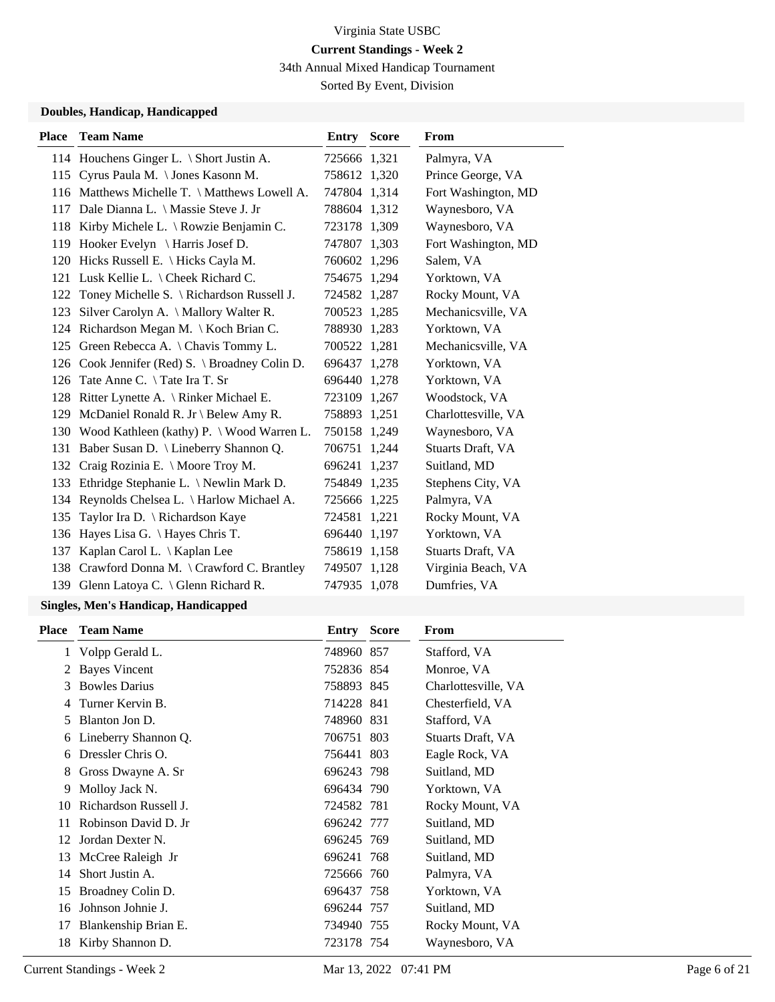34th Annual Mixed Handicap Tournament

Sorted By Event, Division

#### **Doubles, Handicap, Handicapped**

| <b>Place</b> | <b>Team Name</b>                               | <b>Entry Score</b> | <b>From</b>         |
|--------------|------------------------------------------------|--------------------|---------------------|
|              | 114 Houchens Ginger L. \ Short Justin A.       | 725666 1,321       | Palmyra, VA         |
|              | 115 Cyrus Paula M. \Jones Kasonn M.            | 758612 1,320       | Prince George, VA   |
|              | 116 Matthews Michelle T. \ Matthews Lowell A.  | 747804 1.314       | Fort Washington, MD |
|              | 117 Dale Dianna L. \ Massie Steve J. Jr        | 788604 1,312       | Waynesboro, VA      |
|              | 118 Kirby Michele L. \ Rowzie Benjamin C.      | 723178 1,309       | Waynesboro, VA      |
|              | 119 Hooker Evelyn \ Harris Josef D.            | 747807 1,303       | Fort Washington, MD |
|              | 120 Hicks Russell E. \ Hicks Cayla M.          | 760602 1,296       | Salem, VA           |
|              | 121 Lusk Kellie L. \ Cheek Richard C.          | 754675 1,294       | Yorktown, VA        |
|              | 122 Toney Michelle S. \ Richardson Russell J.  | 724582 1,287       | Rocky Mount, VA     |
| 123          | Silver Carolyn A. $\Lambda$ Mallory Walter R.  | 700523 1,285       | Mechanicsville, VA  |
|              | 124 Richardson Megan M. \ Koch Brian C.        | 788930 1,283       | Yorktown, VA        |
|              | 125 Green Rebecca A. \ Chavis Tommy L.         | 700522 1,281       | Mechanicsville, VA  |
|              | 126 Cook Jennifer (Red) S. \ Broadney Colin D. | 696437 1,278       | Yorktown, VA        |
| 126          | Tate Anne C. \Tate Ira T. Sr                   | 696440 1,278       | Yorktown, VA        |
|              | 128 Ritter Lynette A. \ Rinker Michael E.      | 723109 1,267       | Woodstock, VA       |
|              | 129 McDaniel Ronald R. Jr \ Belew Amy R.       | 758893 1,251       | Charlottesville, VA |
|              | 130 Wood Kathleen (kathy) P. \ Wood Warren L.  | 750158 1,249       | Waynesboro, VA      |
|              | 131 Baber Susan D. \ Lineberry Shannon Q.      | 706751 1,244       | Stuarts Draft, VA   |
|              | 132 Craig Rozinia E. \ Moore Troy M.           | 696241 1,237       | Suitland, MD        |
|              | 133 Ethridge Stephanie L. \ Newlin Mark D.     | 754849 1,235       | Stephens City, VA   |
|              | 134 Reynolds Chelsea L. \ Harlow Michael A.    | 725666 1,225       | Palmyra, VA         |
| 135          | Taylor Ira D. \ Richardson Kaye                | 724581 1,221       | Rocky Mount, VA     |
| 136          | Hayes Lisa G. \ Hayes Chris T.                 | 696440 1,197       | Yorktown, VA        |
| 137          | Kaplan Carol L. \ Kaplan Lee                   | 758619 1,158       | Stuarts Draft, VA   |
|              | 138 Crawford Donna M. \ Crawford C. Brantley   | 749507 1,128       | Virginia Beach, VA  |
|              | 139 Glenn Latoya C. \ Glenn Richard R.         | 747935 1,078       | Dumfries, VA        |

### **Singles, Men's Handicap, Handicapped**

| Place | <b>Team Name</b>      | Entry      | <b>Score</b> | From                |
|-------|-----------------------|------------|--------------|---------------------|
|       | 1 Volpp Gerald L.     | 748960 857 |              | Stafford, VA        |
| 2     | <b>Bayes Vincent</b>  | 752836 854 |              | Monroe, VA          |
| 3     | <b>Bowles Darius</b>  | 758893 845 |              | Charlottesville, VA |
|       | Turner Kervin B.      | 714228 841 |              | Chesterfield, VA    |
| 5     | Blanton Jon D.        | 748960 831 |              | Stafford, VA        |
| 6     | Lineberry Shannon Q.  | 706751 803 |              | Stuarts Draft, VA   |
| 6     | Dressler Chris O.     | 756441 803 |              | Eagle Rock, VA      |
| 8     | Gross Dwayne A. Sr    | 696243 798 |              | Suitland, MD        |
| 9     | Molloy Jack N.        | 696434 790 |              | Yorktown, VA        |
| 10    | Richardson Russell J. | 724582 781 |              | Rocky Mount, VA     |
| 11    | Robinson David D. Jr  | 696242 777 |              | Suitland, MD        |
| 12    | Jordan Dexter N.      | 696245 769 |              | Suitland, MD        |
| 13    | McCree Raleigh Jr     | 696241 768 |              | Suitland, MD        |
| 14    | Short Justin A.       | 725666 760 |              | Palmyra, VA         |
| 15    | Broadney Colin D.     | 696437 758 |              | Yorktown, VA        |
| 16    | Johnson Johnie J.     | 696244 757 |              | Suitland, MD        |
| 17    | Blankenship Brian E.  | 734940 755 |              | Rocky Mount, VA     |
| 18    | Kirby Shannon D.      | 723178 754 |              | Waynesboro, VA      |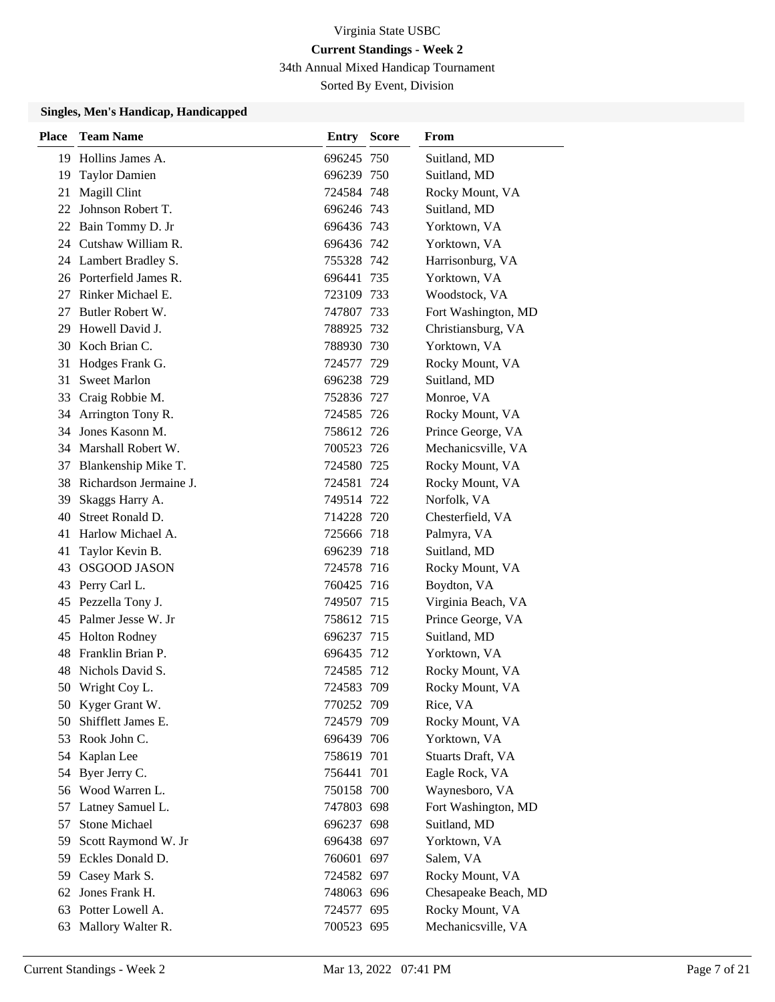34th Annual Mixed Handicap Tournament

Sorted By Event, Division

#### **Singles, Men's Handicap, Handicapped**

| <b>Place</b> | <b>Team Name</b>          | <b>Entry Score</b> | From                 |
|--------------|---------------------------|--------------------|----------------------|
|              | 19 Hollins James A.       | 696245 750         | Suitland, MD         |
| 19           | <b>Taylor Damien</b>      | 696239 750         | Suitland, MD         |
| 21           | Magill Clint              | 724584 748         | Rocky Mount, VA      |
|              | 22 Johnson Robert T.      | 696246 743         | Suitland, MD         |
|              | 22 Bain Tommy D. Jr       | 696436 743         | Yorktown, VA         |
|              | 24 Cutshaw William R.     | 696436 742         | Yorktown, VA         |
|              | 24 Lambert Bradley S.     | 755328 742         | Harrisonburg, VA     |
|              | 26 Porterfield James R.   | 696441 735         | Yorktown, VA         |
| 27           | Rinker Michael E.         | 723109 733         | Woodstock, VA        |
| 27           | Butler Robert W.          | 747807 733         | Fort Washington, MD  |
| 29           | Howell David J.           | 788925 732         | Christiansburg, VA   |
|              | 30 Koch Brian C.          | 788930 730         | Yorktown, VA         |
| 31           | Hodges Frank G.           | 724577 729         | Rocky Mount, VA      |
| 31           | <b>Sweet Marlon</b>       | 696238 729         | Suitland, MD         |
| 33           | Craig Robbie M.           | 752836 727         | Monroe, VA           |
| 34           | Arrington Tony R.         | 724585 726         | Rocky Mount, VA      |
| 34           | Jones Kasonn M.           | 758612 726         | Prince George, VA    |
|              | 34 Marshall Robert W.     | 700523 726         | Mechanicsville, VA   |
|              | 37 Blankenship Mike T.    | 724580 725         | Rocky Mount, VA      |
|              | 38 Richardson Jermaine J. | 724581 724         | Rocky Mount, VA      |
| 39           | Skaggs Harry A.           | 749514 722         | Norfolk, VA          |
| 40.          | Street Ronald D.          | 714228 720         | Chesterfield, VA     |
| 41           | Harlow Michael A.         | 725666 718         | Palmyra, VA          |
| 41           | Taylor Kevin B.           | 696239 718         | Suitland, MD         |
| 43           | <b>OSGOOD JASON</b>       | 724578 716         | Rocky Mount, VA      |
| 43           | Perry Carl L.             | 760425 716         | Boydton, VA          |
| 45           | Pezzella Tony J.          | 749507 715         | Virginia Beach, VA   |
| 45           | Palmer Jesse W. Jr        | 758612 715         | Prince George, VA    |
| 45           | <b>Holton Rodney</b>      | 696237 715         | Suitland, MD         |
| 48           | Franklin Brian P.         | 696435 712         | Yorktown, VA         |
| 48           | Nichols David S.          | 724585 712         | Rocky Mount, VA      |
|              | 50 Wright Coy L.          | 724583 709         | Rocky Mount, VA      |
|              | 50 Kyger Grant W.         | 770252 709         | Rice, VA             |
| 50           | Shifflett James E.        | 724579 709         | Rocky Mount, VA      |
| 53           | Rook John C.              | 696439 706         | Yorktown, VA         |
|              | 54 Kaplan Lee             | 758619 701         | Stuarts Draft, VA    |
| 54           | Byer Jerry C.             | 756441 701         | Eagle Rock, VA       |
|              | 56 Wood Warren L.         | 750158 700         | Waynesboro, VA       |
| 57           | Latney Samuel L.          | 747803 698         | Fort Washington, MD  |
| 57           | Stone Michael             | 696237 698         | Suitland, MD         |
| 59           | Scott Raymond W. Jr       | 696438 697         | Yorktown, VA         |
| 59           | Eckles Donald D.          | 760601 697         | Salem, VA            |
| 59           | Casey Mark S.             | 724582 697         | Rocky Mount, VA      |
| 62           | Jones Frank H.            | 748063 696         | Chesapeake Beach, MD |
| 63           | Potter Lowell A.          | 724577 695         | Rocky Mount, VA      |
| 63           | Mallory Walter R.         | 700523 695         | Mechanicsville, VA   |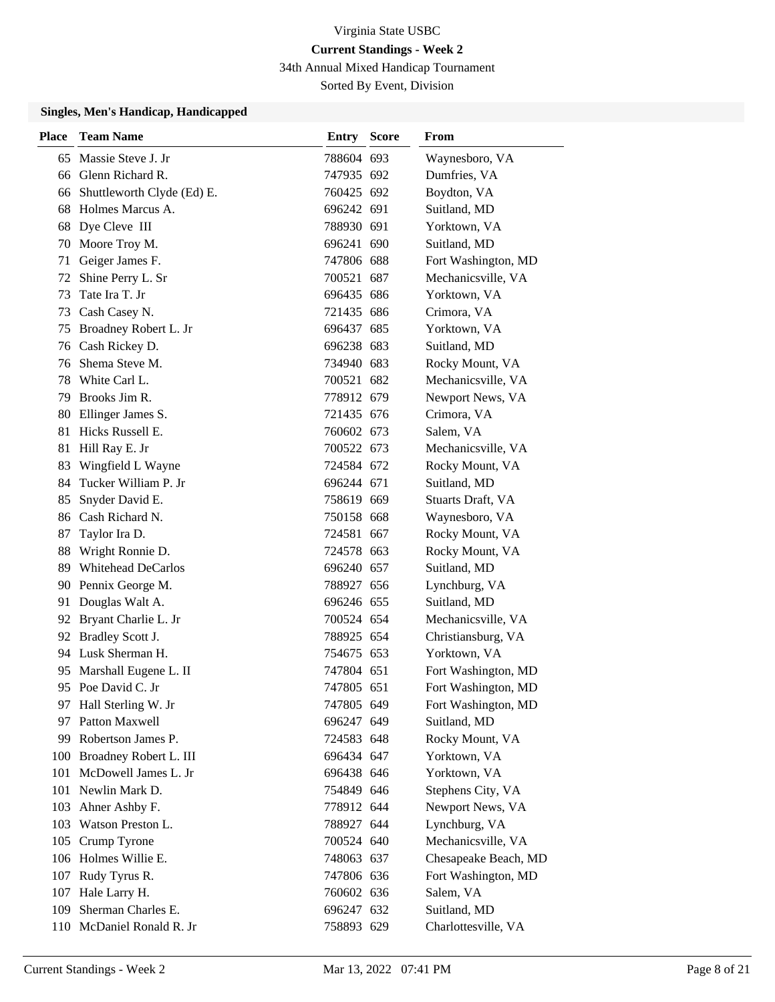34th Annual Mixed Handicap Tournament

Sorted By Event, Division

#### **Singles, Men's Handicap, Handicapped**

| Place | <b>Team Name</b>              | Entry      | <b>Score</b> | From                 |
|-------|-------------------------------|------------|--------------|----------------------|
| 65    | Massie Steve J. Jr            | 788604 693 |              | Waynesboro, VA       |
|       | 66 Glenn Richard R.           | 747935 692 |              | Dumfries, VA         |
|       | 66 Shuttleworth Clyde (Ed) E. | 760425 692 |              | Boydton, VA          |
| 68    | Holmes Marcus A.              | 696242 691 |              | Suitland, MD         |
| 68    | Dye Cleve III                 | 788930 691 |              | Yorktown, VA         |
|       | 70 Moore Troy M.              | 696241 690 |              | Suitland, MD         |
| 71    | Geiger James F.               | 747806 688 |              | Fort Washington, MD  |
| 72    | Shine Perry L. Sr             | 700521 687 |              | Mechanicsville, VA   |
| 73    | Tate Ira T. Jr                | 696435 686 |              | Yorktown, VA         |
| 73    | Cash Casey N.                 | 721435 686 |              | Crimora, VA          |
| 75    | Broadney Robert L. Jr         | 696437 685 |              | Yorktown, VA         |
|       | 76 Cash Rickey D.             | 696238 683 |              | Suitland, MD         |
| 76    | Shema Steve M.                | 734940 683 |              | Rocky Mount, VA      |
|       | 78 White Carl L.              | 700521 682 |              | Mechanicsville, VA   |
|       | 79 Brooks Jim R.              | 778912 679 |              | Newport News, VA     |
|       | 80 Ellinger James S.          | 721435 676 |              | Crimora, VA          |
| 81    | Hicks Russell E.              | 760602 673 |              | Salem, VA            |
| 81    | Hill Ray E. Jr                | 700522 673 |              | Mechanicsville, VA   |
| 83    | Wingfield L Wayne             | 724584 672 |              | Rocky Mount, VA      |
| 84.   | Tucker William P. Jr          | 696244 671 |              | Suitland, MD         |
| 85    | Snyder David E.               | 758619 669 |              | Stuarts Draft, VA    |
| 86    | Cash Richard N.               | 750158 668 |              | Waynesboro, VA       |
| 87    | Taylor Ira D.                 | 724581 667 |              | Rocky Mount, VA      |
| 88    | Wright Ronnie D.              | 724578 663 |              | Rocky Mount, VA      |
| 89    | <b>Whitehead DeCarlos</b>     | 696240 657 |              | Suitland, MD         |
|       | 90 Pennix George M.           | 788927 656 |              | Lynchburg, VA        |
| 91    | Douglas Walt A.               | 696246 655 |              | Suitland, MD         |
|       | 92 Bryant Charlie L. Jr       | 700524 654 |              | Mechanicsville, VA   |
|       | 92 Bradley Scott J.           | 788925 654 |              | Christiansburg, VA   |
|       | 94 Lusk Sherman H.            | 754675 653 |              | Yorktown, VA         |
| 95    | Marshall Eugene L. II         | 747804 651 |              | Fort Washington, MD  |
|       | 95 Poe David C. Jr            | 747805 651 |              | Fort Washington, MD  |
|       | 97 Hall Sterling W. Jr        | 747805 649 |              | Fort Washington, MD  |
|       | 97 Patton Maxwell             | 696247 649 |              | Suitland, MD         |
|       | 99 Robertson James P.         | 724583 648 |              | Rocky Mount, VA      |
|       | 100 Broadney Robert L. III    | 696434 647 |              | Yorktown, VA         |
| 101   | McDowell James L. Jr          | 696438 646 |              | Yorktown, VA         |
|       | 101 Newlin Mark D.            | 754849 646 |              | Stephens City, VA    |
|       | 103 Ahner Ashby F.            | 778912 644 |              | Newport News, VA     |
| 103   | Watson Preston L.             | 788927 644 |              | Lynchburg, VA        |
|       | 105 Crump Tyrone              | 700524 640 |              | Mechanicsville, VA   |
|       | 106 Holmes Willie E.          | 748063 637 |              | Chesapeake Beach, MD |
|       | 107 Rudy Tyrus R.             | 747806 636 |              | Fort Washington, MD  |
|       | 107 Hale Larry H.             | 760602 636 |              | Salem, VA            |
| 109   | Sherman Charles E.            | 696247 632 |              | Suitland, MD         |
|       | 110 McDaniel Ronald R. Jr     | 758893 629 |              | Charlottesville, VA  |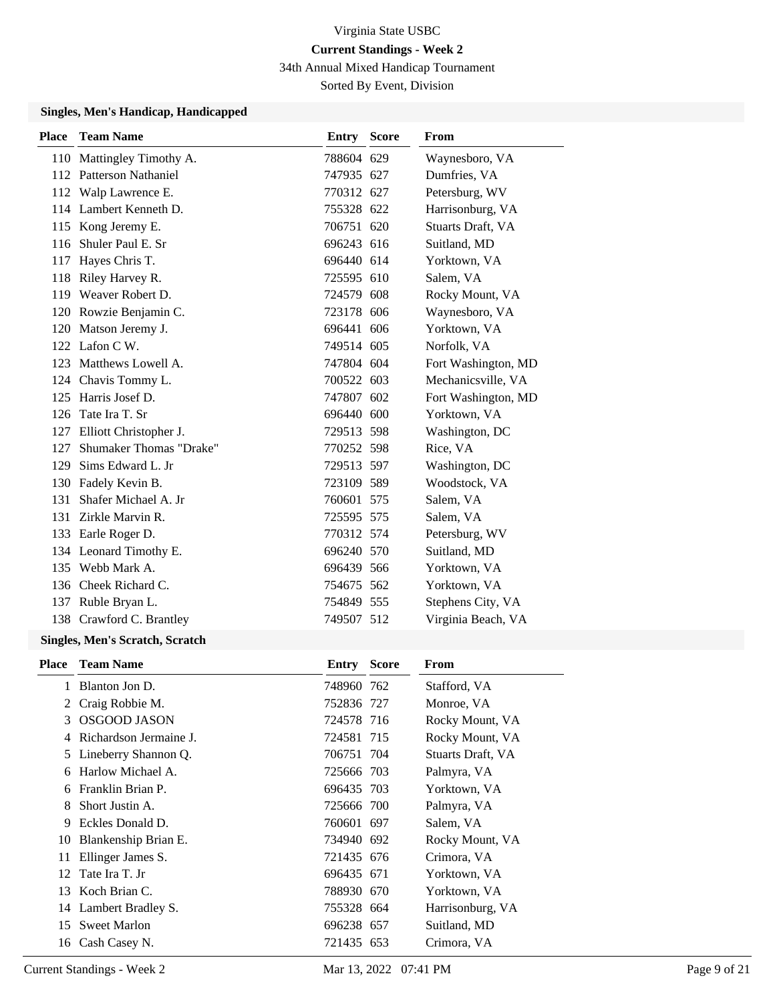34th Annual Mixed Handicap Tournament

Sorted By Event, Division

#### **Singles, Men's Handicap, Handicapped**

| <b>Place</b> | <b>Team Name</b>                                          | Entry Score | From                |
|--------------|-----------------------------------------------------------|-------------|---------------------|
|              | 110 Mattingley Timothy A.                                 | 788604 629  | Waynesboro, VA      |
|              | 112 Patterson Nathaniel                                   | 747935 627  | Dumfries, VA        |
|              | 112 Walp Lawrence E.                                      | 770312 627  | Petersburg, WV      |
|              | 114 Lambert Kenneth D.                                    | 755328 622  | Harrisonburg, VA    |
|              | 115 Kong Jeremy E.                                        | 706751 620  | Stuarts Draft, VA   |
| 116          | Shuler Paul E. Sr                                         | 696243 616  | Suitland, MD        |
| 117          | Hayes Chris T.                                            | 696440 614  | Yorktown, VA        |
| 118          | Riley Harvey R.                                           | 725595 610  | Salem, VA           |
|              | 119 Weaver Robert D.                                      | 724579 608  | Rocky Mount, VA     |
|              | 120 Rowzie Benjamin C.                                    | 723178 606  | Waynesboro, VA      |
|              | 120 Matson Jeremy J.                                      | 696441 606  | Yorktown, VA        |
|              | 122 Lafon C W.                                            | 749514 605  | Norfolk, VA         |
|              | 123 Matthews Lowell A.                                    | 747804 604  | Fort Washington, MD |
|              | 124 Chavis Tommy L.                                       | 700522 603  | Mechanicsville, VA  |
|              | 125 Harris Josef D.                                       | 747807 602  | Fort Washington, MD |
| 126          | Tate Ira T. Sr                                            | 696440 600  | Yorktown, VA        |
| 127          | Elliott Christopher J.                                    | 729513 598  | Washington, DC      |
| 127          | Shumaker Thomas "Drake"                                   | 770252 598  | Rice, VA            |
| 129          | Sims Edward L. Jr                                         | 729513 597  | Washington, DC      |
|              | 130 Fadely Kevin B.                                       | 723109 589  | Woodstock, VA       |
| 131          | Shafer Michael A. Jr                                      | 760601 575  | Salem, VA           |
| 131          | Zirkle Marvin R.                                          | 725595 575  | Salem, VA           |
|              | 133 Earle Roger D.                                        | 770312 574  | Petersburg, WV      |
|              | 134 Leonard Timothy E.                                    | 696240 570  | Suitland, MD        |
|              | 135 Webb Mark A.                                          | 696439 566  | Yorktown, VA        |
|              | 136 Cheek Richard C.                                      | 754675 562  | Yorktown, VA        |
|              | 137 Ruble Bryan L.                                        | 754849 555  | Stephens City, VA   |
|              | 138 Crawford C. Brantley                                  | 749507 512  | Virginia Beach, VA  |
|              | $\mathbf{M}$ . $\mathbf{M}$ . $\mathbf{M}$ . $\mathbf{M}$ |             |                     |

#### **Singles, Men's Scratch, Scratch**

| <b>Place</b> | <b>Team Name</b>       | <b>Entry Score</b> | From              |
|--------------|------------------------|--------------------|-------------------|
|              | Blanton Jon D.         | 748960 762         | Stafford, VA      |
| 2            | Craig Robbie M.        | 752836 727         | Monroe, VA        |
| 3            | <b>OSGOOD JASON</b>    | 724578 716         | Rocky Mount, VA   |
| 4            | Richardson Jermaine J. | 724581 715         | Rocky Mount, VA   |
|              | 5 Lineberry Shannon Q. | 706751 704         | Stuarts Draft, VA |
| 6            | Harlow Michael A.      | 725666 703         | Palmyra, VA       |
| 6            | Franklin Brian P.      | 696435 703         | Yorktown, VA      |
| 8            | Short Justin A.        | 725666 700         | Palmyra, VA       |
| 9            | Eckles Donald D.       | 760601 697         | Salem, VA         |
| 10           | Blankenship Brian E.   | 734940 692         | Rocky Mount, VA   |
| 11           | Ellinger James S.      | 721435 676         | Crimora, VA       |
| 12           | Tate Ira T. Jr         | 696435 671         | Yorktown, VA      |
| 13           | Koch Brian C.          | 788930 670         | Yorktown, VA      |
|              | 14 Lambert Bradley S.  | 755328 664         | Harrisonburg, VA  |
| 15           | <b>Sweet Marlon</b>    | 696238 657         | Suitland, MD      |
|              | 16 Cash Casey N.       | 721435 653         | Crimora, VA       |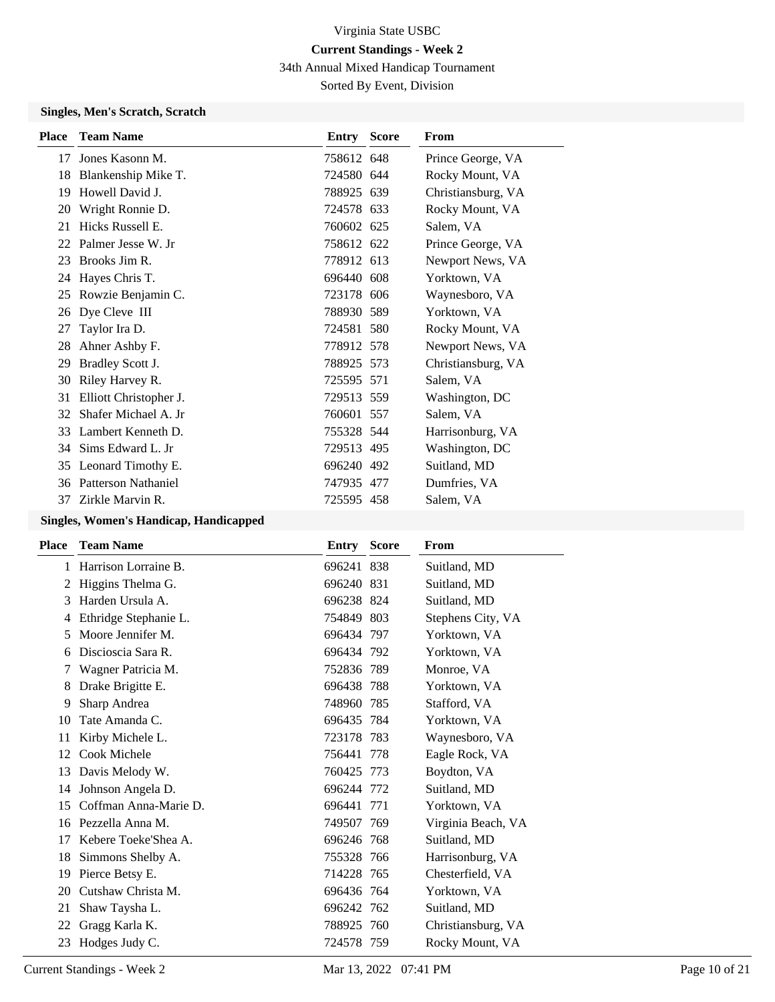34th Annual Mixed Handicap Tournament

Sorted By Event, Division

#### **Singles, Men's Scratch, Scratch**

|                        |                                                                                        | From                                                                                                                                                                                                                                                                                                                     |
|------------------------|----------------------------------------------------------------------------------------|--------------------------------------------------------------------------------------------------------------------------------------------------------------------------------------------------------------------------------------------------------------------------------------------------------------------------|
| Jones Kasonn M.        |                                                                                        | Prince George, VA                                                                                                                                                                                                                                                                                                        |
|                        |                                                                                        | Rocky Mount, VA                                                                                                                                                                                                                                                                                                          |
| Howell David J.        |                                                                                        | Christiansburg, VA                                                                                                                                                                                                                                                                                                       |
| Wright Ronnie D.       |                                                                                        | Rocky Mount, VA                                                                                                                                                                                                                                                                                                          |
| Hicks Russell E.       |                                                                                        | Salem, VA                                                                                                                                                                                                                                                                                                                |
|                        |                                                                                        | Prince George, VA                                                                                                                                                                                                                                                                                                        |
| Brooks Jim R.          |                                                                                        | Newport News, VA                                                                                                                                                                                                                                                                                                         |
| Hayes Chris T.         |                                                                                        | Yorktown, VA                                                                                                                                                                                                                                                                                                             |
| Rowzie Benjamin C.     |                                                                                        | Waynesboro, VA                                                                                                                                                                                                                                                                                                           |
| Dye Cleve III          |                                                                                        | Yorktown, VA                                                                                                                                                                                                                                                                                                             |
| Taylor Ira D.          |                                                                                        | Rocky Mount, VA                                                                                                                                                                                                                                                                                                          |
| Ahner Ashby F.         |                                                                                        | Newport News, VA                                                                                                                                                                                                                                                                                                         |
| Bradley Scott J.       |                                                                                        | Christiansburg, VA                                                                                                                                                                                                                                                                                                       |
| Riley Harvey R.        |                                                                                        | Salem, VA                                                                                                                                                                                                                                                                                                                |
| Elliott Christopher J. |                                                                                        | Washington, DC                                                                                                                                                                                                                                                                                                           |
| Shafer Michael A. Jr   |                                                                                        | Salem, VA                                                                                                                                                                                                                                                                                                                |
| Lambert Kenneth D.     |                                                                                        | Harrisonburg, VA                                                                                                                                                                                                                                                                                                         |
| Sims Edward L. Jr      |                                                                                        | Washington, DC                                                                                                                                                                                                                                                                                                           |
|                        |                                                                                        | Suitland, MD                                                                                                                                                                                                                                                                                                             |
| Patterson Nathaniel    |                                                                                        | Dumfries, VA                                                                                                                                                                                                                                                                                                             |
| Zirkle Marvin R.       |                                                                                        | Salem, VA                                                                                                                                                                                                                                                                                                                |
|                        | <b>Team Name</b><br>Blankenship Mike T.<br>Palmer Jesse W. Jr<br>35 Leonard Timothy E. | <b>Entry Score</b><br>758612 648<br>724580 644<br>788925 639<br>724578 633<br>760602 625<br>758612 622<br>778912 613<br>696440 608<br>723178 606<br>788930 589<br>724581 580<br>778912 578<br>788925 573<br>725595 571<br>729513 559<br>760601 557<br>755328 544<br>729513 495<br>696240 492<br>747935 477<br>725595 458 |

#### **Singles, Women's Handicap, Handicapped**

| <b>Team Name</b>      |                                    | From                                                                                                                                                                                                                                                                                                                                                 |
|-----------------------|------------------------------------|------------------------------------------------------------------------------------------------------------------------------------------------------------------------------------------------------------------------------------------------------------------------------------------------------------------------------------------------------|
| Harrison Lorraine B.  |                                    | Suitland, MD                                                                                                                                                                                                                                                                                                                                         |
| Higgins Thelma G.     |                                    | Suitland, MD                                                                                                                                                                                                                                                                                                                                         |
| Harden Ursula A.      |                                    | Suitland, MD                                                                                                                                                                                                                                                                                                                                         |
| Ethridge Stephanie L. |                                    | Stephens City, VA                                                                                                                                                                                                                                                                                                                                    |
| Moore Jennifer M.     |                                    | Yorktown, VA                                                                                                                                                                                                                                                                                                                                         |
| Discioscia Sara R.    |                                    | Yorktown, VA                                                                                                                                                                                                                                                                                                                                         |
| Wagner Patricia M.    |                                    | Monroe, VA                                                                                                                                                                                                                                                                                                                                           |
| Drake Brigitte E.     |                                    | Yorktown, VA                                                                                                                                                                                                                                                                                                                                         |
| Sharp Andrea          |                                    | Stafford, VA                                                                                                                                                                                                                                                                                                                                         |
| Tate Amanda C.        |                                    | Yorktown, VA                                                                                                                                                                                                                                                                                                                                         |
| Kirby Michele L.      |                                    | Waynesboro, VA                                                                                                                                                                                                                                                                                                                                       |
| Cook Michele          |                                    | Eagle Rock, VA                                                                                                                                                                                                                                                                                                                                       |
| Davis Melody W.       |                                    | Boydton, VA                                                                                                                                                                                                                                                                                                                                          |
| Johnson Angela D.     |                                    | Suitland, MD                                                                                                                                                                                                                                                                                                                                         |
| Coffman Anna-Marie D. |                                    | Yorktown, VA                                                                                                                                                                                                                                                                                                                                         |
|                       |                                    | Virginia Beach, VA                                                                                                                                                                                                                                                                                                                                   |
| Kebere Toeke'Shea A.  |                                    | Suitland, MD                                                                                                                                                                                                                                                                                                                                         |
| Simmons Shelby A.     |                                    | Harrisonburg, VA                                                                                                                                                                                                                                                                                                                                     |
| Pierce Betsy E.       |                                    | Chesterfield, VA                                                                                                                                                                                                                                                                                                                                     |
| Cutshaw Christa M.    |                                    | Yorktown, VA                                                                                                                                                                                                                                                                                                                                         |
| Shaw Taysha L.        |                                    | Suitland, MD                                                                                                                                                                                                                                                                                                                                         |
| Gragg Karla K.        |                                    | Christiansburg, VA                                                                                                                                                                                                                                                                                                                                   |
|                       |                                    | Rocky Mount, VA                                                                                                                                                                                                                                                                                                                                      |
|                       | Pezzella Anna M.<br>Hodges Judy C. | <b>Entry Score</b><br>696241 838<br>696240 831<br>696238 824<br>754849 803<br>696434 797<br>696434 792<br>752836 789<br>696438 788<br>748960 785<br>696435 784<br>723178 783<br>756441 778<br>760425 773<br>696244 772<br>696441 771<br>749507 769<br>696246 768<br>755328 766<br>714228 765<br>696436 764<br>696242 762<br>788925 760<br>724578 759 |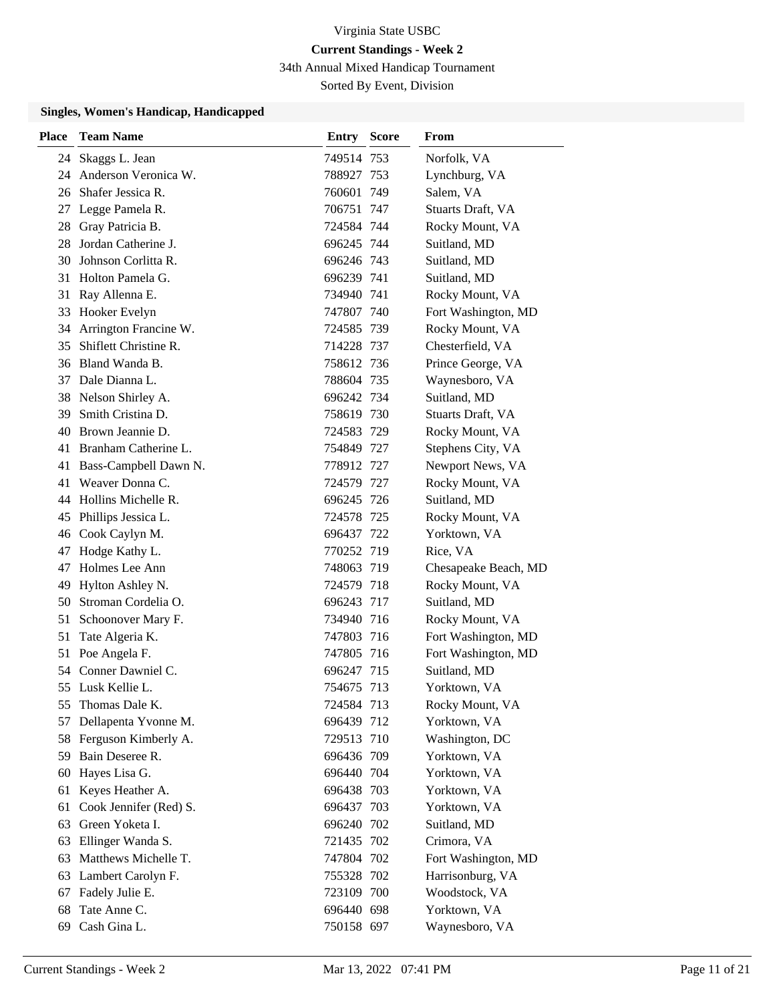34th Annual Mixed Handicap Tournament

Sorted By Event, Division

#### **Singles, Women's Handicap, Handicapped**

| <b>Place</b> | <b>Team Name</b>         | Entry      | <b>Score</b> | From                 |
|--------------|--------------------------|------------|--------------|----------------------|
| 24           | Skaggs L. Jean           | 749514 753 |              | Norfolk, VA          |
| 24           | Anderson Veronica W.     | 788927 753 |              | Lynchburg, VA        |
| 26           | Shafer Jessica R.        | 760601 749 |              | Salem, VA            |
| 27           | Legge Pamela R.          | 706751 747 |              | Stuarts Draft, VA    |
| 28           | Gray Patricia B.         | 724584 744 |              | Rocky Mount, VA      |
| 28           | Jordan Catherine J.      | 696245 744 |              | Suitland, MD         |
| 30           | Johnson Corlitta R.      | 696246 743 |              | Suitland, MD         |
| 31           | Holton Pamela G.         | 696239 741 |              | Suitland, MD         |
| 31           | Ray Allenna E.           | 734940 741 |              | Rocky Mount, VA      |
| 33           | Hooker Evelyn            | 747807 740 |              | Fort Washington, MD  |
|              | 34 Arrington Francine W. | 724585 739 |              | Rocky Mount, VA      |
| 35           | Shiflett Christine R.    | 714228 737 |              | Chesterfield, VA     |
|              | 36 Bland Wanda B.        | 758612 736 |              | Prince George, VA    |
| 37           | Dale Dianna L.           | 788604 735 |              | Waynesboro, VA       |
| 38           | Nelson Shirley A.        | 696242 734 |              | Suitland, MD         |
| 39           | Smith Cristina D.        | 758619 730 |              | Stuarts Draft, VA    |
| 40           | Brown Jeannie D.         | 724583 729 |              | Rocky Mount, VA      |
| 41           | Branham Catherine L.     | 754849 727 |              | Stephens City, VA    |
| 41           | Bass-Campbell Dawn N.    | 778912 727 |              | Newport News, VA     |
| 41           | Weaver Donna C.          | 724579 727 |              | Rocky Mount, VA      |
| 44           | Hollins Michelle R.      | 696245 726 |              | Suitland, MD         |
| 45           | Phillips Jessica L.      | 724578 725 |              | Rocky Mount, VA      |
|              | 46 Cook Caylyn M.        | 696437 722 |              | Yorktown, VA         |
| 47           | Hodge Kathy L.           | 770252 719 |              | Rice, VA             |
| 47           | Holmes Lee Ann           | 748063 719 |              | Chesapeake Beach, MD |
| 49           | Hylton Ashley N.         | 724579 718 |              | Rocky Mount, VA      |
| 50           | Stroman Cordelia O.      | 696243 717 |              | Suitland, MD         |
| 51           | Schoonover Mary F.       | 734940 716 |              | Rocky Mount, VA      |
| 51           | Tate Algeria K.          | 747803 716 |              | Fort Washington, MD  |
| 51           | Poe Angela F.            | 747805 716 |              | Fort Washington, MD  |
| 54           | Conner Dawniel C.        | 696247 715 |              | Suitland, MD         |
|              | 55 Lusk Kellie L.        | 754675     | 713          | Yorktown, VA         |
| 55           | Thomas Dale K.           | 724584 713 |              | Rocky Mount, VA      |
| 57           | Dellapenta Yvonne M.     | 696439 712 |              | Yorktown, VA         |
|              | 58 Ferguson Kimberly A.  | 729513 710 |              | Washington, DC       |
|              | 59 Bain Deseree R.       | 696436 709 |              | Yorktown, VA         |
| 60           | Hayes Lisa G.            | 696440 704 |              | Yorktown, VA         |
| 61           | Keyes Heather A.         | 696438 703 |              | Yorktown, VA         |
| 61           | Cook Jennifer (Red) S.   | 696437 703 |              | Yorktown, VA         |
| 63           | Green Yoketa I.          | 696240 702 |              | Suitland, MD         |
| 63           | Ellinger Wanda S.        | 721435 702 |              | Crimora, VA          |
| 63           | Matthews Michelle T.     | 747804 702 |              | Fort Washington, MD  |
| 63           | Lambert Carolyn F.       | 755328 702 |              | Harrisonburg, VA     |
| 67           | Fadely Julie E.          | 723109 700 |              | Woodstock, VA        |
| 68           | Tate Anne C.             | 696440 698 |              | Yorktown, VA         |
| 69           | Cash Gina L.             | 750158 697 |              | Waynesboro, VA       |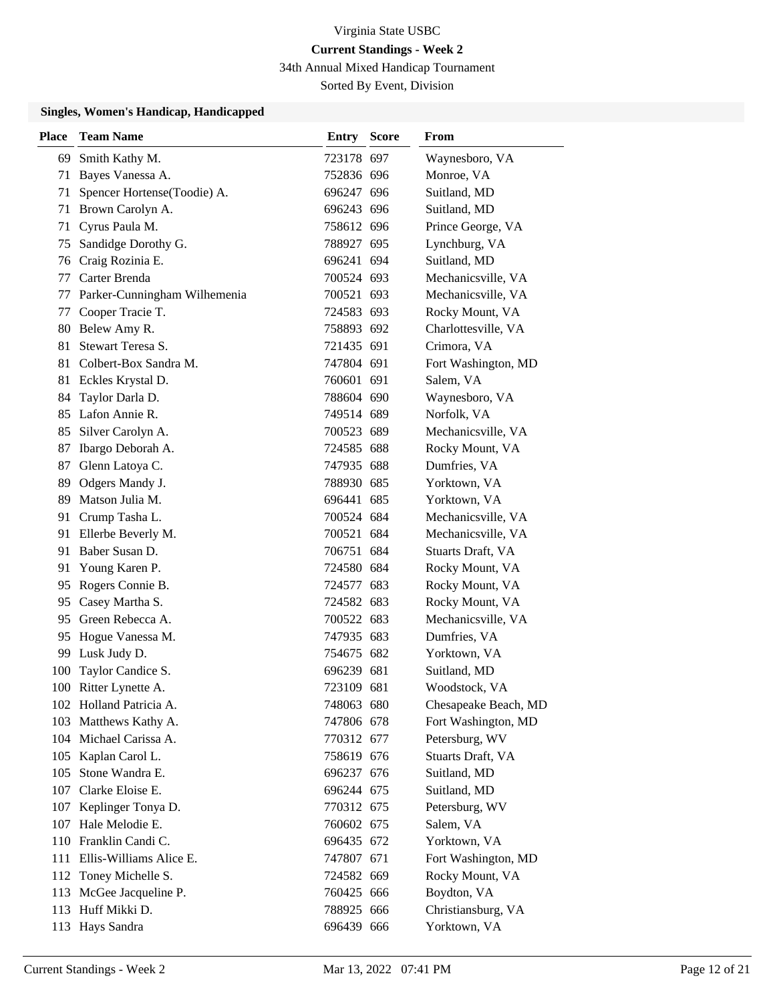34th Annual Mixed Handicap Tournament

Sorted By Event, Division

#### **Singles, Women's Handicap, Handicapped**

| <b>Place</b> | <b>Team Name</b>             | <b>Entry Score</b> | From                 |
|--------------|------------------------------|--------------------|----------------------|
| 69           | Smith Kathy M.               | 723178 697         | Waynesboro, VA       |
| 71           | Bayes Vanessa A.             | 752836 696         | Monroe, VA           |
| 71           | Spencer Hortense(Toodie) A.  | 696247 696         | Suitland, MD         |
| 71           | Brown Carolyn A.             | 696243 696         | Suitland, MD         |
| 71           | Cyrus Paula M.               | 758612 696         | Prince George, VA    |
| 75           | Sandidge Dorothy G.          | 788927 695         | Lynchburg, VA        |
| 76           | Craig Rozinia E.             | 696241 694         | Suitland, MD         |
| 77           | Carter Brenda                | 700524 693         | Mechanicsville, VA   |
| 77           | Parker-Cunningham Wilhemenia | 700521 693         | Mechanicsville, VA   |
| 77           | Cooper Tracie T.             | 724583 693         | Rocky Mount, VA      |
|              | 80 Belew Amy R.              | 758893 692         | Charlottesville, VA  |
| 81           | Stewart Teresa S.            | 721435 691         | Crimora, VA          |
| 81           | Colbert-Box Sandra M.        | 747804 691         | Fort Washington, MD  |
| 81           | Eckles Krystal D.            | 760601 691         | Salem, VA            |
| 84           | Taylor Darla D.              | 788604 690         | Waynesboro, VA       |
| 85           | Lafon Annie R.               | 749514 689         | Norfolk, VA          |
| 85           | Silver Carolyn A.            | 700523 689         | Mechanicsville, VA   |
| 87           | Ibargo Deborah A.            | 724585 688         | Rocky Mount, VA      |
| 87           | Glenn Latoya C.              | 747935 688         | Dumfries, VA         |
| 89           | Odgers Mandy J.              | 788930 685         | Yorktown, VA         |
| 89           | Matson Julia M.              | 696441 685         | Yorktown, VA         |
| 91           | Crump Tasha L.               | 700524 684         | Mechanicsville, VA   |
| 91           | Ellerbe Beverly M.           | 700521 684         | Mechanicsville, VA   |
| 91           | Baber Susan D.               | 706751 684         | Stuarts Draft, VA    |
| 91           | Young Karen P.               | 724580 684         | Rocky Mount, VA      |
| 95           | Rogers Connie B.             | 724577 683         | Rocky Mount, VA      |
| 95           | Casey Martha S.              | 724582 683         | Rocky Mount, VA      |
| 95           | Green Rebecca A.             | 700522 683         | Mechanicsville, VA   |
| 95           | Hogue Vanessa M.             | 747935 683         | Dumfries, VA         |
| 99           | Lusk Judy D.                 | 754675 682         | Yorktown, VA         |
| 100          | Taylor Candice S.            | 696239 681         | Suitland, MD         |
|              | 100 Ritter Lynette A.        | 723109 681         | Woodstock, VA        |
|              | 102 Holland Patricia A.      | 748063 680         | Chesapeake Beach, MD |
|              | 103 Matthews Kathy A.        | 747806 678         | Fort Washington, MD  |
|              | 104 Michael Carissa A.       | 770312 677         | Petersburg, WV       |
|              | 105 Kaplan Carol L.          | 758619 676         | Stuarts Draft, VA    |
| 105          | Stone Wandra E.              | 696237 676         | Suitland, MD         |
| 107          | Clarke Eloise E.             | 696244 675         | Suitland, MD         |
|              | 107 Keplinger Tonya D.       | 770312 675         | Petersburg, WV       |
|              | 107 Hale Melodie E.          | 760602 675         | Salem, VA            |
|              | 110 Franklin Candi C.        | 696435 672         | Yorktown, VA         |
|              | 111 Ellis-Williams Alice E.  | 747807 671         | Fort Washington, MD  |
|              | 112 Toney Michelle S.        | 724582 669         | Rocky Mount, VA      |
| 113          | McGee Jacqueline P.          | 760425 666         | Boydton, VA          |
|              | 113 Huff Mikki D.            | 788925 666         | Christiansburg, VA   |
|              | 113 Hays Sandra              | 696439 666         | Yorktown, VA         |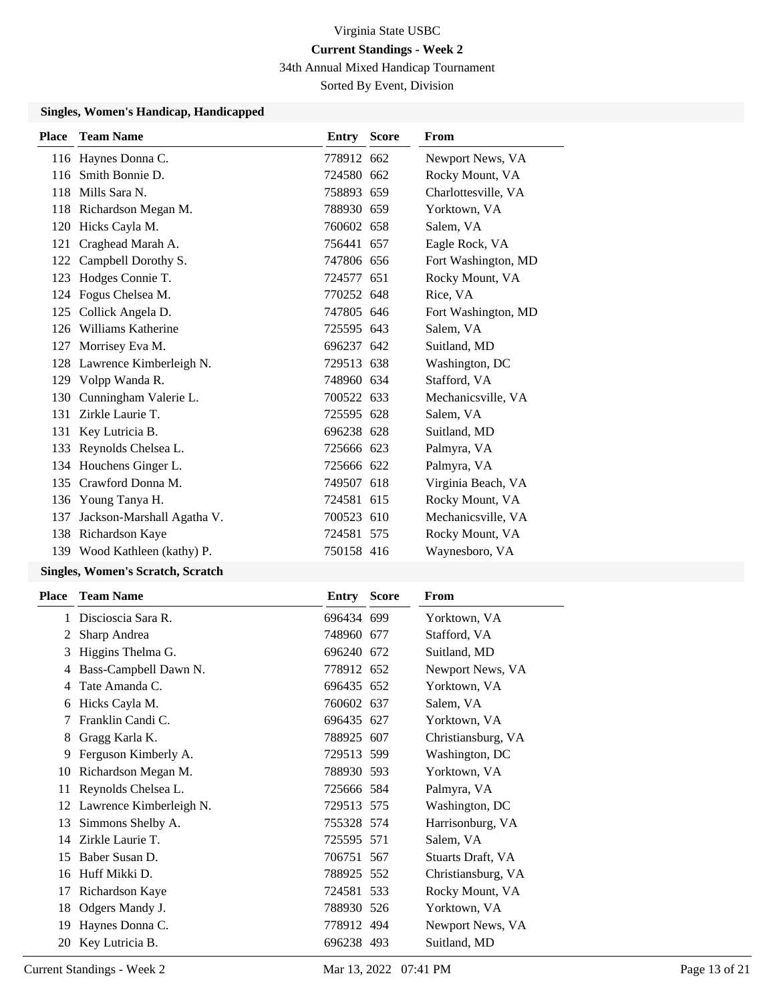34th Annual Mixed Handicap Tournament

Sorted By Event, Division

#### **Singles, Women's Handicap, Handicapped**

|     | <b>Place Team Name</b>       | <b>Entry Score</b> | From                |
|-----|------------------------------|--------------------|---------------------|
|     | 116 Haynes Donna C.          | 778912 662         | Newport News, VA    |
| 116 | Smith Bonnie D.              | 724580 662         | Rocky Mount, VA     |
| 118 | Mills Sara N.                | 758893 659         | Charlottesville, VA |
|     | 118 Richardson Megan M.      | 788930 659         | Yorktown, VA        |
| 120 | Hicks Cayla M.               | 760602 658         | Salem, VA           |
| 121 | Craghead Marah A.            | 756441 657         | Eagle Rock, VA      |
| 122 | Campbell Dorothy S.          | 747806 656         | Fort Washington, MD |
| 123 | Hodges Connie T.             | 724577 651         | Rocky Mount, VA     |
| 124 | Fogus Chelsea M.             | 770252 648         | Rice, VA            |
| 125 | Collick Angela D.            | 747805 646         | Fort Washington, MD |
| 126 | Williams Katherine           | 725595 643         | Salem, VA           |
| 127 | Morrisey Eva M.              | 696237 642         | Suitland, MD        |
|     | 128 Lawrence Kimberleigh N.  | 729513 638         | Washington, DC      |
|     | 129 Volpp Wanda R.           | 748960 634         | Stafford, VA        |
| 130 | Cunningham Valerie L.        | 700522 633         | Mechanicsville, VA  |
| 131 | Zirkle Laurie T.             | 725595 628         | Salem, VA           |
| 131 | Key Lutricia B.              | 696238 628         | Suitland, MD        |
| 133 | Reynolds Chelsea L.          | 725666 623         | Palmyra, VA         |
|     | 134 Houchens Ginger L.       | 725666 622         | Palmyra, VA         |
| 135 | Crawford Donna M.            | 749507 618         | Virginia Beach, VA  |
| 136 | Young Tanya H.               | 724581 615         | Rocky Mount, VA     |
| 137 | Jackson-Marshall Agatha V.   | 700523 610         | Mechanicsville, VA  |
|     | 138 Richardson Kaye          | 724581 575         | Rocky Mount, VA     |
|     | 139 Wood Kathleen (kathy) P. | 750158 416         | Waynesboro, VA      |
|     |                              |                    |                     |

#### **Singles, Women's Scratch, Scratch**

| Place | <b>Team Name</b>        | Entry      | <b>Score</b> | From               |
|-------|-------------------------|------------|--------------|--------------------|
| 1     | Discioscia Sara R.      | 696434 699 |              | Yorktown, VA       |
| 2     | Sharp Andrea            | 748960 677 |              | Stafford, VA       |
| 3     | Higgins Thelma G.       | 696240 672 |              | Suitland, MD       |
| 4     | Bass-Campbell Dawn N.   | 778912 652 |              | Newport News, VA   |
| 4     | Tate Amanda C.          | 696435 652 |              | Yorktown, VA       |
| 6     | Hicks Cayla M.          | 760602 637 |              | Salem, VA          |
|       | Franklin Candi C.       | 696435 627 |              | Yorktown, VA       |
| 8     | Gragg Karla K.          | 788925 607 |              | Christiansburg, VA |
| 9     | Ferguson Kimberly A.    | 729513 599 |              | Washington, DC     |
| 10    | Richardson Megan M.     | 788930 593 |              | Yorktown, VA       |
| 11    | Reynolds Chelsea L.     | 725666 584 |              | Palmyra, VA        |
| 12    | Lawrence Kimberleigh N. | 729513 575 |              | Washington, DC     |
| 13    | Simmons Shelby A.       | 755328 574 |              | Harrisonburg, VA   |
| 14    | Zirkle Laurie T.        | 725595 571 |              | Salem, VA          |
| 15    | Baber Susan D.          | 706751 567 |              | Stuarts Draft, VA  |
| 16    | Huff Mikki D.           | 788925 552 |              | Christiansburg, VA |
| 17    | Richardson Kaye         | 724581 533 |              | Rocky Mount, VA    |
| 18    | Odgers Mandy J.         | 788930 526 |              | Yorktown, VA       |
| 19    | Haynes Donna C.         | 778912 494 |              | Newport News, VA   |
| 20    | Key Lutricia B.         | 696238 493 |              | Suitland, MD       |
|       |                         |            |              |                    |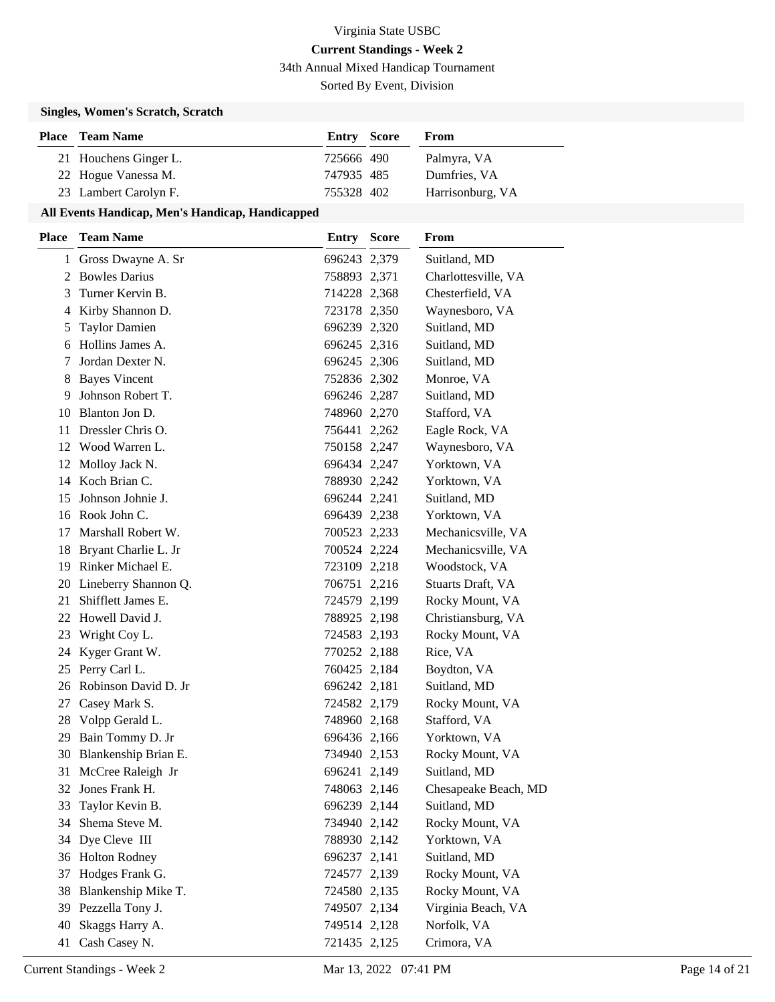34th Annual Mixed Handicap Tournament

Sorted By Event, Division

### **Singles, Women's Scratch, Scratch**

| <b>Place</b> Team Name | <b>Entry Score</b> | From             |
|------------------------|--------------------|------------------|
| 21 Houchens Ginger L.  | 725666 490         | Palmyra, VA      |
| 22 Hogue Vanessa M.    | 747935 485         | Dumfries, VA     |
| 23 Lambert Carolyn F.  | 755328 402         | Harrisonburg, VA |

#### **All Events Handicap, Men's Handicap, Handicapped**

| <b>Place</b> | <b>Team Name</b>        | <b>Entry Score</b> | From                 |
|--------------|-------------------------|--------------------|----------------------|
|              | 1 Gross Dwayne A. Sr    | 696243 2,379       | Suitland, MD         |
|              | 2 Bowles Darius         | 758893 2,371       | Charlottesville, VA  |
| 3            | Turner Kervin B.        | 714228 2,368       | Chesterfield, VA     |
|              | 4 Kirby Shannon D.      | 723178 2,350       | Waynesboro, VA       |
| 5            | <b>Taylor Damien</b>    | 696239 2,320       | Suitland, MD         |
| 6            | Hollins James A.        | 696245 2,316       | Suitland, MD         |
| 7            | Jordan Dexter N.        | 696245 2,306       | Suitland, MD         |
| 8            | <b>Bayes Vincent</b>    | 752836 2,302       | Monroe, VA           |
| 9            | Johnson Robert T.       | 696246 2,287       | Suitland, MD         |
| 10           | Blanton Jon D.          | 748960 2,270       | Stafford, VA         |
| 11           | Dressler Chris O.       | 756441 2,262       | Eagle Rock, VA       |
| 12           | Wood Warren L.          | 750158 2,247       | Waynesboro, VA       |
| 12           | Molloy Jack N.          | 696434 2,247       | Yorktown, VA         |
| 14           | Koch Brian C.           | 788930 2,242       | Yorktown, VA         |
| 15           | Johnson Johnie J.       | 696244 2,241       | Suitland, MD         |
| 16           | Rook John C.            | 696439 2,238       | Yorktown, VA         |
| 17           | Marshall Robert W.      | 700523 2,233       | Mechanicsville, VA   |
| 18           | Bryant Charlie L. Jr    | 700524 2,224       | Mechanicsville, VA   |
|              | 19 Rinker Michael E.    | 723109 2,218       | Woodstock, VA        |
|              | 20 Lineberry Shannon Q. | 706751 2,216       | Stuarts Draft, VA    |
| 21           | Shifflett James E.      | 724579 2,199       | Rocky Mount, VA      |
| 22           | Howell David J.         | 788925 2,198       | Christiansburg, VA   |
| 23           | Wright Coy L.           | 724583 2,193       | Rocky Mount, VA      |
|              | 24 Kyger Grant W.       | 770252 2,188       | Rice, VA             |
| 25           | Perry Carl L.           | 760425 2,184       | Boydton, VA          |
| 26           | Robinson David D. Jr    | 696242 2,181       | Suitland, MD         |
| 27           | Casey Mark S.           | 724582 2,179       | Rocky Mount, VA      |
| 28           | Volpp Gerald L.         | 748960 2,168       | Stafford, VA         |
| 29           | Bain Tommy D. Jr        | 696436 2,166       | Yorktown, VA         |
| 30           | Blankenship Brian E.    | 734940 2,153       | Rocky Mount, VA      |
| 31           | McCree Raleigh Jr       | 696241 2,149       | Suitland, MD         |
| 32           | Jones Frank H.          | 748063 2,146       | Chesapeake Beach, MD |
| 33           | Taylor Kevin B.         | 696239 2,144       | Suitland, MD         |
| 34           | Shema Steve M.          | 734940 2,142       | Rocky Mount, VA      |
| 34           | Dye Cleve III           | 788930 2,142       | Yorktown, VA         |
| 36           | <b>Holton Rodney</b>    | 696237 2,141       | Suitland, MD         |
| 37           | Hodges Frank G.         | 724577 2,139       | Rocky Mount, VA      |
| 38           | Blankenship Mike T.     | 724580 2,135       | Rocky Mount, VA      |
| 39           | Pezzella Tony J.        | 749507 2,134       | Virginia Beach, VA   |
| 40           | Skaggs Harry A.         | 749514 2,128       | Norfolk, VA          |
|              | 41 Cash Casey N.        | 721435 2,125       | Crimora, VA          |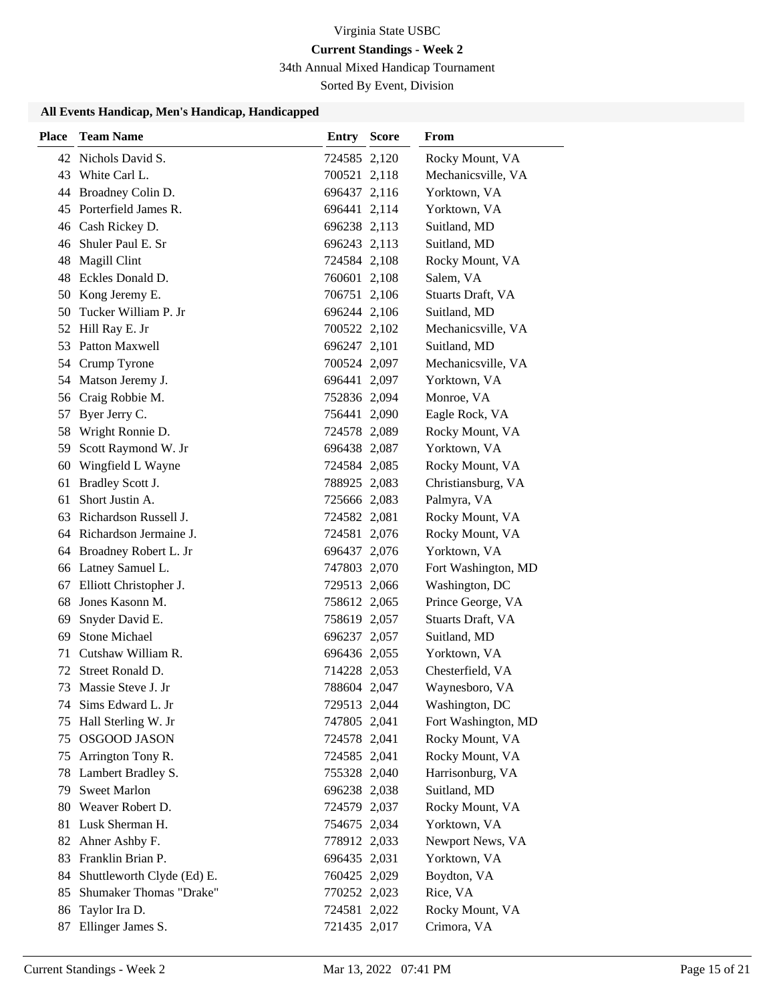# **Current Standings - Week 2**

34th Annual Mixed Handicap Tournament

Sorted By Event, Division

#### **All Events Handicap, Men's Handicap, Handicapped**

| <b>Place</b> | <b>Team Name</b>                           | <b>Entry Score</b>           | From                                |
|--------------|--------------------------------------------|------------------------------|-------------------------------------|
|              | 42 Nichols David S.                        | 724585 2,120                 | Rocky Mount, VA                     |
|              | 43 White Carl L.                           | 700521 2,118                 | Mechanicsville, VA                  |
| 44           | Broadney Colin D.                          | 696437 2,116                 | Yorktown, VA                        |
|              | 45 Porterfield James R.                    | 696441 2,114                 | Yorktown, VA                        |
|              | 46 Cash Rickey D.                          | 696238 2,113                 | Suitland, MD                        |
|              | 46 Shuler Paul E. Sr                       | 696243 2,113                 | Suitland, MD                        |
| 48           | Magill Clint                               | 724584 2,108                 | Rocky Mount, VA                     |
| 48           | Eckles Donald D.                           | 760601 2,108                 | Salem, VA                           |
| 50           | Kong Jeremy E.                             | 706751 2,106                 | Stuarts Draft, VA                   |
| 50           | Tucker William P. Jr                       | 696244 2,106                 | Suitland, MD                        |
|              | 52 Hill Ray E. Jr                          | 700522 2,102                 | Mechanicsville, VA                  |
| 53           | Patton Maxwell                             | 696247 2,101                 | Suitland, MD                        |
| 54           | Crump Tyrone                               | 700524 2,097                 | Mechanicsville, VA                  |
|              | 54 Matson Jeremy J.                        | 696441 2,097                 | Yorktown, VA                        |
|              | 56 Craig Robbie M.                         | 752836 2,094                 | Monroe, VA                          |
| 57           | Byer Jerry C.                              | 756441 2,090                 | Eagle Rock, VA                      |
| 58           | Wright Ronnie D.                           | 724578 2,089                 | Rocky Mount, VA                     |
| 59           | Scott Raymond W. Jr                        | 696438 2,087                 | Yorktown, VA                        |
| 60           | Wingfield L Wayne                          | 724584 2,085                 | Rocky Mount, VA                     |
| 61           | Bradley Scott J.                           | 788925 2,083                 | Christiansburg, VA                  |
| 61           | Short Justin A.                            | 725666 2,083                 | Palmyra, VA                         |
|              | 63 Richardson Russell J.                   | 724582 2,081                 | Rocky Mount, VA                     |
|              | 64 Richardson Jermaine J.                  | 724581 2,076                 | Rocky Mount, VA                     |
|              | 64 Broadney Robert L. Jr                   | 696437 2,076                 | Yorktown, VA                        |
|              | 66 Latney Samuel L.                        | 747803 2,070                 | Fort Washington, MD                 |
| 67           | Elliott Christopher J.                     | 729513 2,066                 | Washington, DC                      |
| 68           | Jones Kasonn M.                            | 758612 2,065                 | Prince George, VA                   |
| 69           | Snyder David E.                            | 758619 2,057                 | Stuarts Draft, VA                   |
| 69           | <b>Stone Michael</b>                       | 696237 2,057                 | Suitland, MD                        |
| 71           | Cutshaw William R.                         | 696436 2,055                 | Yorktown, VA                        |
| 72           | Street Ronald D.                           | 714228 2,053                 | Chesterfield, VA                    |
| 73           | Massie Steve J. Jr                         | 788604 2,047                 | Waynesboro, VA                      |
|              | 74 Sims Edward L. Jr                       | 729513 2,044                 | Washington, DC                      |
| 75           | Hall Sterling W. Jr<br><b>OSGOOD JASON</b> | 747805 2,041                 | Fort Washington, MD                 |
| 75           | Arrington Tony R.                          | 724578 2,041                 | Rocky Mount, VA                     |
| 75           | Lambert Bradley S.                         | 724585 2,041<br>755328 2,040 | Rocky Mount, VA<br>Harrisonburg, VA |
| 78<br>79     | <b>Sweet Marlon</b>                        | 696238 2,038                 | Suitland, MD                        |
| 80           | Weaver Robert D.                           | 724579 2,037                 | Rocky Mount, VA                     |
| 81           | Lusk Sherman H.                            | 754675 2,034                 | Yorktown, VA                        |
| 82           | Ahner Ashby F.                             | 778912 2,033                 | Newport News, VA                    |
| 83           | Franklin Brian P.                          | 696435 2,031                 | Yorktown, VA                        |
| 84           | Shuttleworth Clyde (Ed) E.                 | 760425 2,029                 | Boydton, VA                         |
| 85           | Shumaker Thomas "Drake"                    | 770252 2,023                 | Rice, VA                            |
| 86           | Taylor Ira D.                              | 724581 2,022                 | Rocky Mount, VA                     |
| 87           | Ellinger James S.                          | 721435 2,017                 | Crimora, VA                         |
|              |                                            |                              |                                     |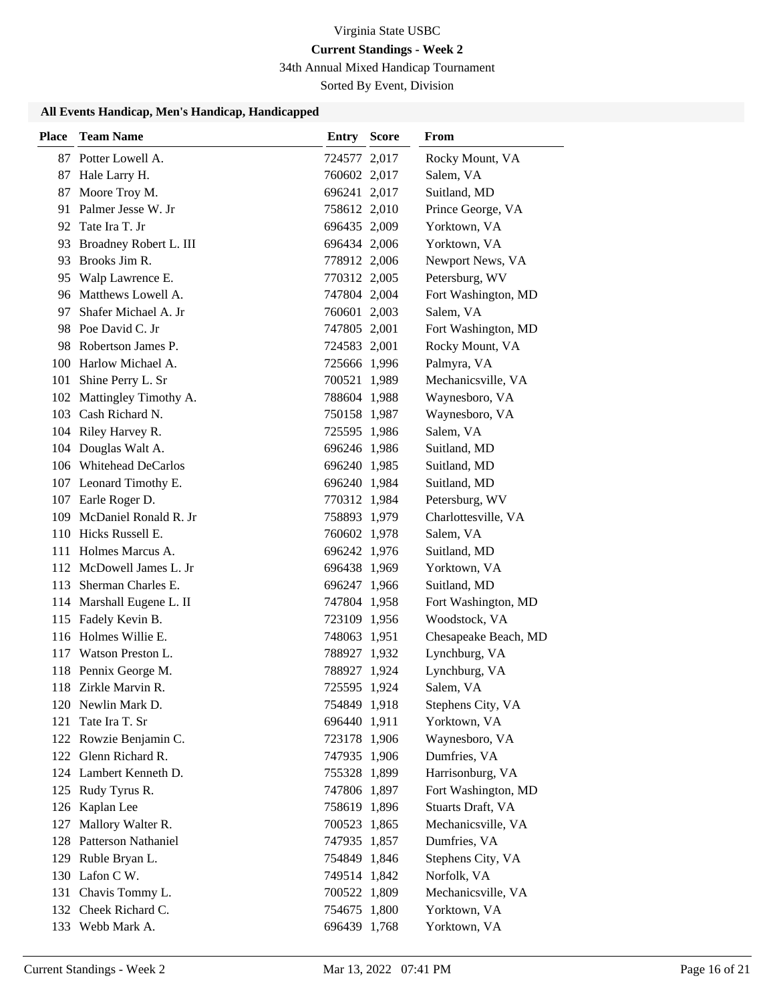## **Current Standings - Week 2**

34th Annual Mixed Handicap Tournament

Sorted By Event, Division

## **All Events Handicap, Men's Handicap, Handicapped**

| <b>Place</b> | <b>Team Name</b>           | <b>Entry Score</b> | From                 |
|--------------|----------------------------|--------------------|----------------------|
|              | 87 Potter Lowell A.        | 724577 2,017       | Rocky Mount, VA      |
|              | 87 Hale Larry H.           | 760602 2,017       | Salem, VA            |
|              | 87 Moore Troy M.           | 696241 2,017       | Suitland, MD         |
|              | 91 Palmer Jesse W. Jr      | 758612 2,010       | Prince George, VA    |
|              | 92 Tate Ira T. Jr          | 696435 2,009       | Yorktown, VA         |
|              | 93 Broadney Robert L. III  | 696434 2,006       | Yorktown, VA         |
|              | 93 Brooks Jim R.           | 778912 2,006       | Newport News, VA     |
|              | 95 Walp Lawrence E.        | 770312 2,005       | Petersburg, WV       |
|              | 96 Matthews Lowell A.      | 747804 2,004       | Fort Washington, MD  |
| 97.          | Shafer Michael A. Jr       | 760601 2,003       | Salem, VA            |
|              | 98 Poe David C. Jr         | 747805 2,001       | Fort Washington, MD  |
|              | 98 Robertson James P.      | 724583 2,001       | Rocky Mount, VA      |
|              | 100 Harlow Michael A.      | 725666 1,996       | Palmyra, VA          |
|              | 101 Shine Perry L. Sr      | 700521 1,989       | Mechanicsville, VA   |
|              | 102 Mattingley Timothy A.  | 788604 1,988       | Waynesboro, VA       |
|              | 103 Cash Richard N.        | 750158 1,987       | Waynesboro, VA       |
|              | 104 Riley Harvey R.        | 725595 1,986       | Salem, VA            |
|              | 104 Douglas Walt A.        | 696246 1,986       | Suitland, MD         |
|              | 106 Whitehead DeCarlos     | 696240 1,985       | Suitland, MD         |
|              | 107 Leonard Timothy E.     | 696240 1,984       | Suitland, MD         |
|              | 107 Earle Roger D.         | 770312 1,984       | Petersburg, WV       |
|              | 109 McDaniel Ronald R. Jr  | 758893 1,979       | Charlottesville, VA  |
|              | 110 Hicks Russell E.       | 760602 1,978       | Salem, VA            |
|              | 111 Holmes Marcus A.       | 696242 1,976       | Suitland, MD         |
|              | 112 McDowell James L. Jr   | 696438 1,969       | Yorktown, VA         |
|              | 113 Sherman Charles E.     | 696247 1,966       | Suitland, MD         |
|              | 114 Marshall Eugene L. II  | 747804 1,958       | Fort Washington, MD  |
|              | 115 Fadely Kevin B.        | 723109 1,956       | Woodstock, VA        |
|              | 116 Holmes Willie E.       | 748063 1,951       | Chesapeake Beach, MD |
|              | 117 Watson Preston L.      | 788927 1,932       | Lynchburg, VA        |
|              | 118 Pennix George M.       | 788927 1,924       | Lynchburg, VA        |
|              | 118 Zirkle Marvin R.       | 725595 1,924       | Salem. VA            |
|              | 120 Newlin Mark D.         | 754849 1,918       | Stephens City, VA    |
| 121          | Tate Ira T. Sr             | 696440 1,911       | Yorktown, VA         |
|              | 122 Rowzie Benjamin C.     | 723178 1,906       | Waynesboro, VA       |
|              | 122 Glenn Richard R.       | 747935 1,906       | Dumfries, VA         |
|              | 124 Lambert Kenneth D.     | 755328 1,899       | Harrisonburg, VA     |
|              | 125 Rudy Tyrus R.          | 747806 1,897       | Fort Washington, MD  |
|              | 126 Kaplan Lee             | 758619 1,896       | Stuarts Draft, VA    |
| 127          | Mallory Walter R.          | 700523 1,865       | Mechanicsville, VA   |
| 128          | <b>Patterson Nathaniel</b> | 747935 1,857       | Dumfries, VA         |
|              | 129 Ruble Bryan L.         | 754849 1,846       | Stephens City, VA    |
|              | 130 Lafon C W.             | 749514 1,842       | Norfolk, VA          |
|              | 131 Chavis Tommy L.        | 700522 1,809       | Mechanicsville, VA   |
|              | 132 Cheek Richard C.       | 754675 1,800       | Yorktown, VA         |
|              | 133 Webb Mark A.           | 696439 1,768       | Yorktown, VA         |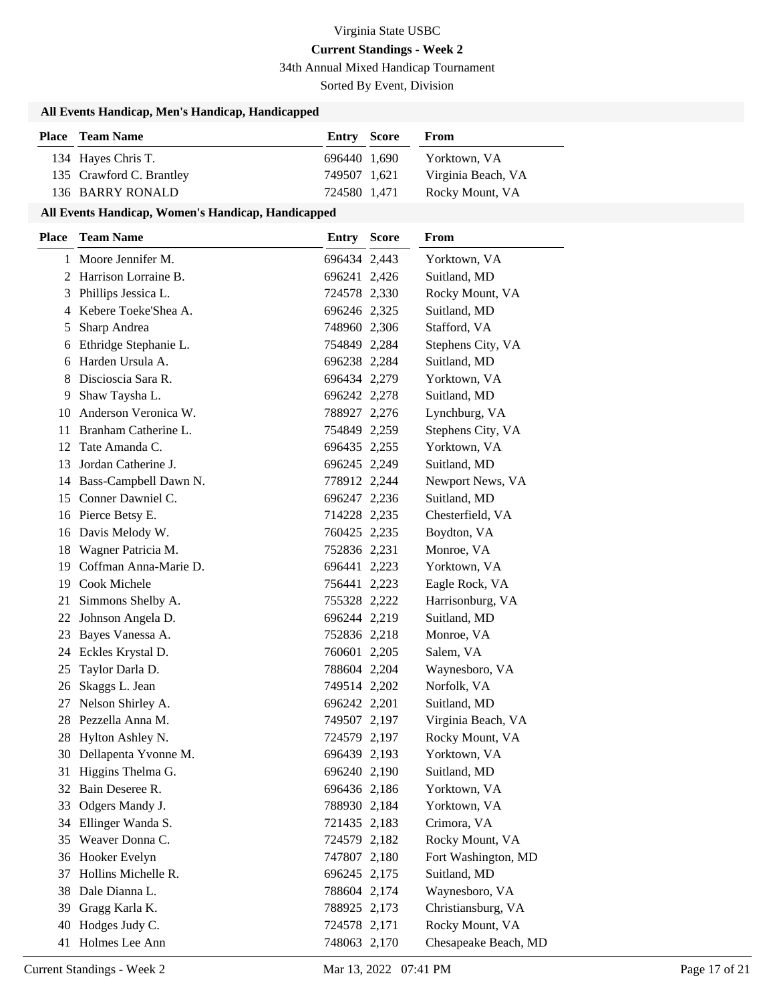# **Current Standings - Week 2**

34th Annual Mixed Handicap Tournament

Sorted By Event, Division

### **All Events Handicap, Men's Handicap, Handicapped**

| <b>Place</b> Team Name   | <b>Entry Score</b> | From               |
|--------------------------|--------------------|--------------------|
| 134 Hayes Chris T.       | 696440 1.690       | Yorktown, VA       |
| 135 Crawford C. Brantley | 749507 1.621       | Virginia Beach, VA |
| 136 BARRY RONALD         | 724580 1.471       | Rocky Mount, VA    |

#### **All Events Handicap, Women's Handicap, Handicapped**

| <b>Place</b> | <b>Team Name</b>         | Entry        | <b>Score</b> | <b>From</b>          |
|--------------|--------------------------|--------------|--------------|----------------------|
|              | 1 Moore Jennifer M.      | 696434 2,443 |              | Yorktown, VA         |
|              | 2 Harrison Lorraine B.   | 696241 2,426 |              | Suitland, MD         |
|              | 3 Phillips Jessica L.    | 724578 2,330 |              | Rocky Mount, VA      |
|              | 4 Kebere Toeke'Shea A.   | 696246 2,325 |              | Suitland, MD         |
| 5            | Sharp Andrea             | 748960 2,306 |              | Stafford, VA         |
| 6            | Ethridge Stephanie L.    | 754849 2,284 |              | Stephens City, VA    |
| 6            | Harden Ursula A.         | 696238 2,284 |              | Suitland, MD         |
| 8            | Discioscia Sara R.       | 696434 2,279 |              | Yorktown, VA         |
| 9            | Shaw Taysha L.           | 696242 2,278 |              | Suitland, MD         |
| 10           | Anderson Veronica W.     | 788927 2,276 |              | Lynchburg, VA        |
| 11           | Branham Catherine L.     | 754849 2,259 |              | Stephens City, VA    |
| 12           | Tate Amanda C.           | 696435 2,255 |              | Yorktown, VA         |
| 13           | Jordan Catherine J.      | 696245 2,249 |              | Suitland, MD         |
|              | 14 Bass-Campbell Dawn N. | 778912 2,244 |              | Newport News, VA     |
| 15           | Conner Dawniel C.        | 696247 2,236 |              | Suitland, MD         |
|              | 16 Pierce Betsy E.       | 714228 2,235 |              | Chesterfield, VA     |
|              | 16 Davis Melody W.       | 760425 2,235 |              | Boydton, VA          |
|              | 18 Wagner Patricia M.    | 752836 2,231 |              | Monroe, VA           |
| 19.          | Coffman Anna-Marie D.    | 696441 2,223 |              | Yorktown, VA         |
| 19           | <b>Cook Michele</b>      | 756441 2,223 |              | Eagle Rock, VA       |
| 21           | Simmons Shelby A.        | 755328 2,222 |              | Harrisonburg, VA     |
| 22           | Johnson Angela D.        | 696244 2,219 |              | Suitland, MD         |
|              | 23 Bayes Vanessa A.      | 752836 2,218 |              | Monroe, VA           |
|              | 24 Eckles Krystal D.     | 760601 2,205 |              | Salem, VA            |
| 25           | Taylor Darla D.          | 788604 2,204 |              | Waynesboro, VA       |
| 26           | Skaggs L. Jean           | 749514 2,202 |              | Norfolk, VA          |
| 27           | Nelson Shirley A.        | 696242 2,201 |              | Suitland, MD         |
| 28           | Pezzella Anna M.         | 749507 2,197 |              | Virginia Beach, VA   |
| 28           | Hylton Ashley N.         | 724579 2,197 |              | Rocky Mount, VA      |
| 30           | Dellapenta Yvonne M.     | 696439 2,193 |              | Yorktown, VA         |
| 31           | Higgins Thelma G.        | 696240 2,190 |              | Suitland, MD         |
| 32.          | Bain Deseree R.          | 696436 2,186 |              | Yorktown, VA         |
| 33           | Odgers Mandy J.          | 788930 2,184 |              | Yorktown, VA         |
| 34           | Ellinger Wanda S.        | 721435 2,183 |              | Crimora, VA          |
| 35           | Weaver Donna C.          | 724579 2,182 |              | Rocky Mount, VA      |
| 36           | Hooker Evelyn            | 747807 2,180 |              | Fort Washington, MD  |
| 37           | Hollins Michelle R.      | 696245 2,175 |              | Suitland, MD         |
| 38           | Dale Dianna L.           | 788604 2,174 |              | Waynesboro, VA       |
| 39           | Gragg Karla K.           | 788925 2,173 |              | Christiansburg, VA   |
| 40           | Hodges Judy C.           | 724578 2,171 |              | Rocky Mount, VA      |
|              | 41 Holmes Lee Ann        | 748063 2,170 |              | Chesapeake Beach, MD |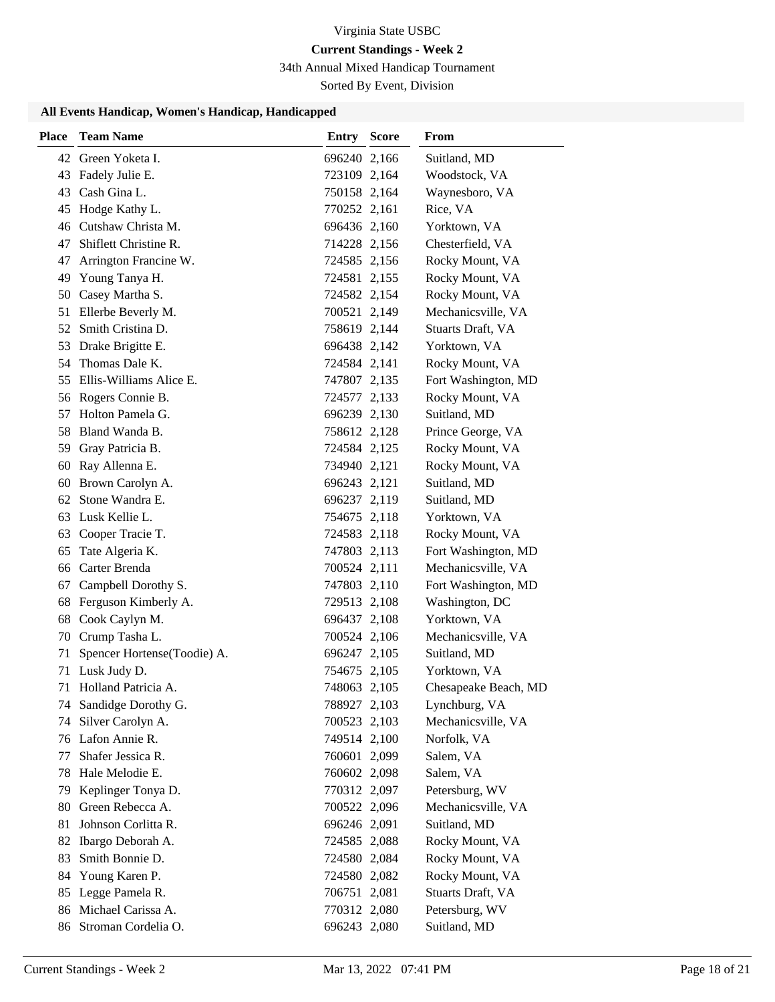## **Current Standings - Week 2**

34th Annual Mixed Handicap Tournament

Sorted By Event, Division

#### **All Events Handicap, Women's Handicap, Handicapped**

| <b>Place</b> | <b>Team Name</b>            | <b>Entry Score</b> | From                 |
|--------------|-----------------------------|--------------------|----------------------|
|              | 42 Green Yoketa I.          | 696240 2,166       | Suitland, MD         |
| 43           | Fadely Julie E.             | 723109 2,164       | Woodstock, VA        |
|              | 43 Cash Gina L.             | 750158 2,164       | Waynesboro, VA       |
| 45           | Hodge Kathy L.              | 770252 2,161       | Rice, VA             |
| 46           | Cutshaw Christa M.          | 696436 2,160       | Yorktown, VA         |
| 47           | Shiflett Christine R.       | 714228 2,156       | Chesterfield, VA     |
| 47           | Arrington Francine W.       | 724585 2,156       | Rocky Mount, VA      |
| 49           | Young Tanya H.              | 724581 2,155       | Rocky Mount, VA      |
| 50           | Casey Martha S.             | 724582 2,154       | Rocky Mount, VA      |
| 51           | Ellerbe Beverly M.          | 700521 2,149       | Mechanicsville, VA   |
| 52           | Smith Cristina D.           | 758619 2,144       | Stuarts Draft, VA    |
| 53           | Drake Brigitte E.           | 696438 2,142       | Yorktown, VA         |
| 54           | Thomas Dale K.              | 724584 2,141       | Rocky Mount, VA      |
|              | 55 Ellis-Williams Alice E.  | 747807 2,135       | Fort Washington, MD  |
|              | 56 Rogers Connie B.         | 724577 2,133       | Rocky Mount, VA      |
| 57           | Holton Pamela G.            | 696239 2,130       | Suitland, MD         |
| 58           | Bland Wanda B.              | 758612 2,128       | Prince George, VA    |
| 59           | Gray Patricia B.            | 724584 2,125       | Rocky Mount, VA      |
| 60           | Ray Allenna E.              | 734940 2,121       | Rocky Mount, VA      |
| 60           | Brown Carolyn A.            | 696243 2,121       | Suitland, MD         |
| 62           | Stone Wandra E.             | 696237 2,119       | Suitland, MD         |
| 63           | Lusk Kellie L.              | 754675 2,118       | Yorktown, VA         |
| 63           | Cooper Tracie T.            | 724583 2,118       | Rocky Mount, VA      |
| 65           | Tate Algeria K.             | 747803 2,113       | Fort Washington, MD  |
| 66           | Carter Brenda               | 700524 2,111       | Mechanicsville, VA   |
| 67           | Campbell Dorothy S.         | 747803 2,110       | Fort Washington, MD  |
| 68           | Ferguson Kimberly A.        | 729513 2,108       | Washington, DC       |
| 68           | Cook Caylyn M.              | 696437 2,108       | Yorktown, VA         |
| 70           | Crump Tasha L.              | 700524 2,106       | Mechanicsville, VA   |
| 71           | Spencer Hortense(Toodie) A. | 696247 2,105       | Suitland, MD         |
| 71           | Lusk Judy D.                | 754675 2,105       | Yorktown, VA         |
| 71           | Holland Patricia A.         | 748063 2,105       | Chesapeake Beach, MD |
|              | 74 Sandidge Dorothy G.      | 788927 2,103       | Lynchburg, VA        |
| 74           | Silver Carolyn A.           | 700523 2,103       | Mechanicsville, VA   |
|              | 76 Lafon Annie R.           | 749514 2,100       | Norfolk, VA          |
| 77           | Shafer Jessica R.           | 760601 2,099       | Salem, VA            |
| 78           | Hale Melodie E.             | 760602 2,098       | Salem, VA            |
| 79           | Keplinger Tonya D.          | 770312 2,097       | Petersburg, WV       |
| 80           | Green Rebecca A.            | 700522 2,096       | Mechanicsville, VA   |
| 81           | Johnson Corlitta R.         | 696246 2,091       | Suitland, MD         |
| 82           | Ibargo Deborah A.           | 724585 2,088       | Rocky Mount, VA      |
| 83           | Smith Bonnie D.             | 724580 2,084       | Rocky Mount, VA      |
| 84           | Young Karen P.              | 724580 2,082       | Rocky Mount, VA      |
| 85           | Legge Pamela R.             | 706751 2,081       | Stuarts Draft, VA    |
| 86           | Michael Carissa A.          | 770312 2,080       | Petersburg, WV       |
| 86           | Stroman Cordelia O.         | 696243 2,080       | Suitland, MD         |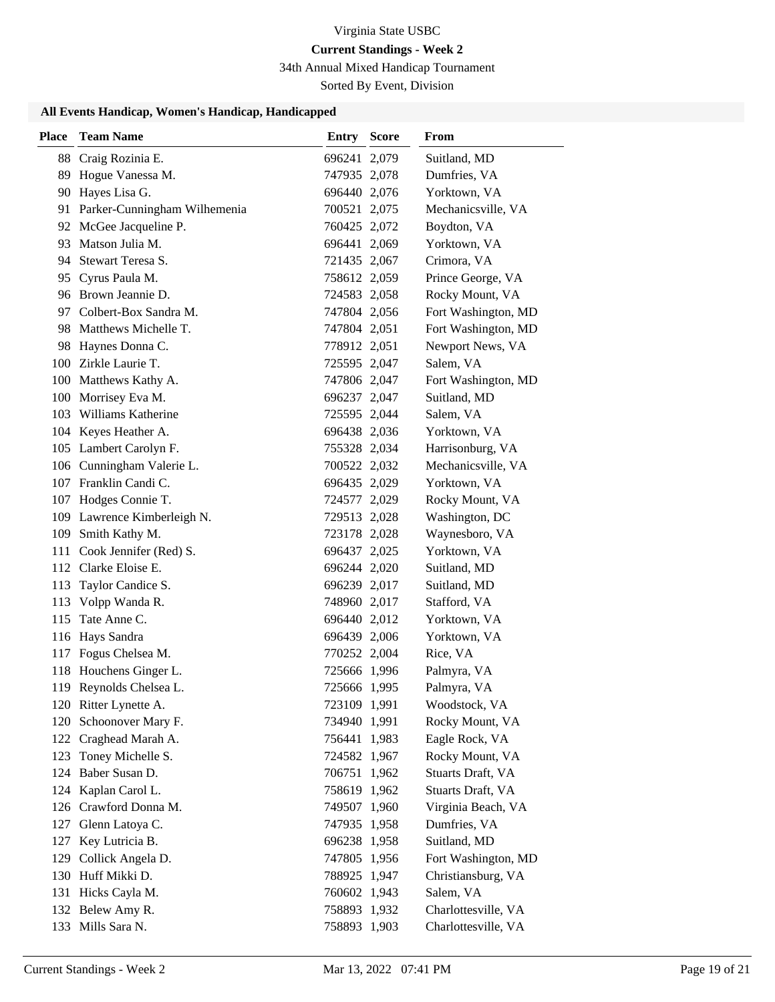# **Current Standings - Week 2**

34th Annual Mixed Handicap Tournament

Sorted By Event, Division

#### **All Events Handicap, Women's Handicap, Handicapped**

| <b>Place</b> | <b>Team Name</b>                | <b>Entry Score</b> | From                |
|--------------|---------------------------------|--------------------|---------------------|
| 88           | Craig Rozinia E.                | 696241 2,079       | Suitland, MD        |
| 89           | Hogue Vanessa M.                | 747935 2,078       | Dumfries, VA        |
|              | 90 Hayes Lisa G.                | 696440 2,076       | Yorktown, VA        |
|              | 91 Parker-Cunningham Wilhemenia | 700521 2,075       | Mechanicsville, VA  |
|              | 92 McGee Jacqueline P.          | 760425 2,072       | Boydton, VA         |
|              | 93 Matson Julia M.              | 696441 2,069       | Yorktown, VA        |
|              | 94 Stewart Teresa S.            | 721435 2,067       | Crimora, VA         |
|              | 95 Cyrus Paula M.               | 758612 2,059       | Prince George, VA   |
|              | 96 Brown Jeannie D.             | 724583 2,058       | Rocky Mount, VA     |
| 97.          | Colbert-Box Sandra M.           | 747804 2,056       | Fort Washington, MD |
|              | 98 Matthews Michelle T.         | 747804 2,051       | Fort Washington, MD |
|              | 98 Haynes Donna C.              | 778912 2,051       | Newport News, VA    |
|              | 100 Zirkle Laurie T.            | 725595 2,047       | Salem, VA           |
|              | 100 Matthews Kathy A.           | 747806 2,047       | Fort Washington, MD |
|              | 100 Morrisey Eva M.             | 696237 2,047       | Suitland, MD        |
|              | 103 Williams Katherine          | 725595 2,044       | Salem, VA           |
|              | 104 Keyes Heather A.            | 696438 2,036       | Yorktown, VA        |
|              | 105 Lambert Carolyn F.          | 755328 2,034       | Harrisonburg, VA    |
|              | 106 Cunningham Valerie L.       | 700522 2,032       | Mechanicsville, VA  |
|              | 107 Franklin Candi C.           | 696435 2,029       | Yorktown, VA        |
|              | 107 Hodges Connie T.            | 724577 2,029       | Rocky Mount, VA     |
|              | 109 Lawrence Kimberleigh N.     | 729513 2,028       | Washington, DC      |
|              | 109 Smith Kathy M.              | 723178 2,028       | Waynesboro, VA      |
|              | 111 Cook Jennifer (Red) S.      | 696437 2,025       | Yorktown, VA        |
|              | 112 Clarke Eloise E.            | 696244 2,020       | Suitland, MD        |
| 113          | Taylor Candice S.               | 696239 2,017       | Suitland, MD        |
| 113          | Volpp Wanda R.                  | 748960 2,017       | Stafford, VA        |
| 115          | Tate Anne C.                    | 696440 2,012       | Yorktown, VA        |
|              | 116 Hays Sandra                 | 696439 2,006       | Yorktown, VA        |
| 117          | Fogus Chelsea M.                | 770252 2,004       | Rice, VA            |
| 118          | Houchens Ginger L.              | 725666 1,996       | Palmyra, VA         |
|              | 119 Reynolds Chelsea L.         | 725666 1,995       | Palmyra, VA         |
|              | 120 Ritter Lynette A.           | 723109 1,991       | Woodstock, VA       |
| 120          | Schoonover Mary F.              | 734940 1,991       | Rocky Mount, VA     |
|              | 122 Craghead Marah A.           | 756441 1,983       | Eagle Rock, VA      |
| 123          | Toney Michelle S.               | 724582 1,967       | Rocky Mount, VA     |
| 124          | Baber Susan D.                  | 706751 1,962       | Stuarts Draft, VA   |
| 124          | Kaplan Carol L.                 | 758619 1,962       | Stuarts Draft, VA   |
|              | 126 Crawford Donna M.           | 749507 1,960       | Virginia Beach, VA  |
| 127          | Glenn Latoya C.                 | 747935 1,958       | Dumfries, VA        |
| 127          | Key Lutricia B.                 | 696238 1,958       | Suitland, MD        |
| 129          | Collick Angela D.               | 747805 1,956       | Fort Washington, MD |
|              | 130 Huff Mikki D.               | 788925 1,947       | Christiansburg, VA  |
|              | 131 Hicks Cayla M.              | 760602 1,943       | Salem, VA           |
|              | 132 Belew Amy R.                | 758893 1,932       | Charlottesville, VA |
|              | 133 Mills Sara N.               | 758893 1,903       | Charlottesville, VA |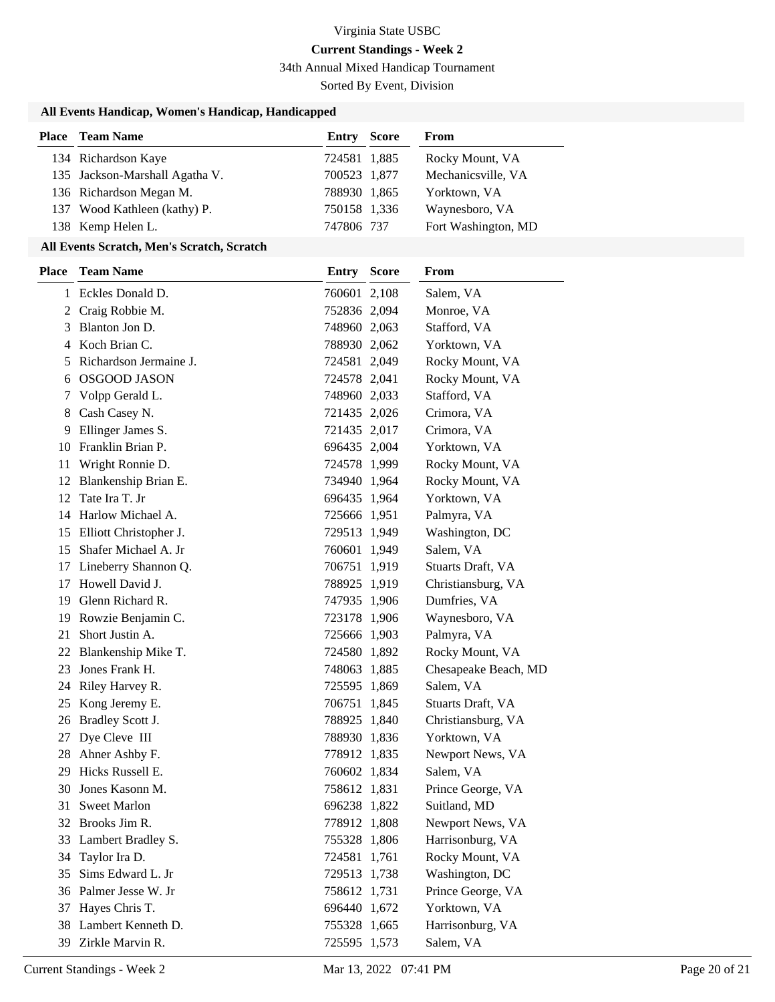34th Annual Mixed Handicap Tournament

Sorted By Event, Division

## **All Events Handicap, Women's Handicap, Handicapped**

| <b>Place</b> Team Name         | Entry        | Score | From                |
|--------------------------------|--------------|-------|---------------------|
| 134 Richardson Kaye            | 724581 1,885 |       | Rocky Mount, VA     |
| 135 Jackson-Marshall Agatha V. | 700523 1,877 |       | Mechanicsville, VA  |
| 136 Richardson Megan M.        | 788930 1,865 |       | Yorktown, VA        |
| 137 Wood Kathleen (kathy) P.   | 750158 1.336 |       | Waynesboro, VA      |
| 138 Kemp Helen L.              | 747806 737   |       | Fort Washington, MD |

## **All Events Scratch, Men's Scratch, Scratch**

| <b>Place</b> | <b>Team Name</b>        | <b>Entry Score</b> | From                 |  |
|--------------|-------------------------|--------------------|----------------------|--|
|              | 1 Eckles Donald D.      | 760601 2,108       | Salem, VA            |  |
|              | 2 Craig Robbie M.       | 752836 2,094       | Monroe, VA           |  |
| 3            | Blanton Jon D.          | 748960 2,063       | Stafford, VA         |  |
| 4            | Koch Brian C.           | 788930 2,062       | Yorktown, VA         |  |
| 5            | Richardson Jermaine J.  | 724581 2,049       | Rocky Mount, VA      |  |
| 6            | <b>OSGOOD JASON</b>     | 724578 2,041       | Rocky Mount, VA      |  |
| 7            | Volpp Gerald L.         | 748960 2,033       | Stafford, VA         |  |
| 8            | Cash Casey N.           | 721435 2,026       | Crimora, VA          |  |
| 9            | Ellinger James S.       | 721435 2,017       | Crimora, VA          |  |
|              | 10 Franklin Brian P.    | 696435 2,004       | Yorktown, VA         |  |
| 11           | Wright Ronnie D.        | 724578 1,999       | Rocky Mount, VA      |  |
|              | 12 Blankenship Brian E. | 734940 1,964       | Rocky Mount, VA      |  |
| 12           | Tate Ira T. Jr          | 696435 1,964       | Yorktown, VA         |  |
| 14           | Harlow Michael A.       | 725666 1,951       | Palmyra, VA          |  |
| 15           | Elliott Christopher J.  | 729513 1,949       | Washington, DC       |  |
| 15           | Shafer Michael A. Jr    | 760601 1,949       | Salem, VA            |  |
| 17           | Lineberry Shannon Q.    | 706751 1,919       | Stuarts Draft, VA    |  |
| 17           | Howell David J.         | 788925 1,919       | Christiansburg, VA   |  |
| 19           | Glenn Richard R.        | 747935 1,906       | Dumfries, VA         |  |
| 19           | Rowzie Benjamin C.      | 723178 1,906       | Waynesboro, VA       |  |
| 21           | Short Justin A.         | 725666 1,903       | Palmyra, VA          |  |
| 22           | Blankenship Mike T.     | 724580 1,892       | Rocky Mount, VA      |  |
| 23           | Jones Frank H.          | 748063 1,885       | Chesapeake Beach, MD |  |
|              | 24 Riley Harvey R.      | 725595 1,869       | Salem, VA            |  |
| 25           | Kong Jeremy E.          | 706751 1,845       | Stuarts Draft, VA    |  |
| 26           | Bradley Scott J.        | 788925 1,840       | Christiansburg, VA   |  |
| 27           | Dye Cleve III           | 788930 1,836       | Yorktown, VA         |  |
|              | 28 Ahner Ashby F.       | 778912 1,835       | Newport News, VA     |  |
| 29           | Hicks Russell E.        | 760602 1,834       | Salem, VA            |  |
|              | 30 Jones Kasonn M.      | 758612 1,831       | Prince George, VA    |  |
| 31           | <b>Sweet Marlon</b>     | 696238 1,822       | Suitland, MD         |  |
|              | 32 Brooks Jim R.        | 778912 1,808       | Newport News, VA     |  |
|              | 33 Lambert Bradley S.   | 755328 1,806       | Harrisonburg, VA     |  |
| 34           | Taylor Ira D.           | 724581 1,761       | Rocky Mount, VA      |  |
| 35           | Sims Edward L. Jr       | 729513 1,738       | Washington, DC       |  |
|              | 36 Palmer Jesse W. Jr   | 758612 1,731       | Prince George, VA    |  |
| 37           | Hayes Chris T.          | 696440 1,672       | Yorktown, VA         |  |
|              | 38 Lambert Kenneth D.   | 755328 1,665       | Harrisonburg, VA     |  |
|              | 39 Zirkle Marvin R.     | 725595 1,573       | Salem, VA            |  |